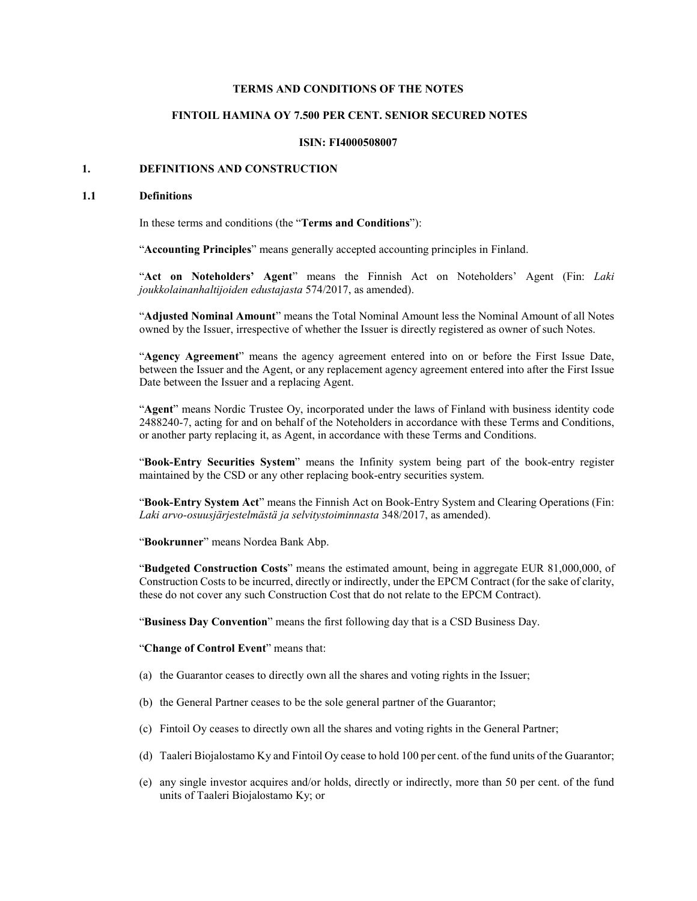#### **TERMS AND CONDITIONS OF THE NOTES**

#### **FINTOIL HAMINA OY 7.500 PER CENT. SENIOR SECURED NOTES**

#### **ISIN: FI4000508007**

### **1. DEFINITIONS AND CONSTRUCTION**

#### **1.1 Definitions**

In these terms and conditions (the "**Terms and Conditions**"):

"**Accounting Principles**" means generally accepted accounting principles in Finland.

"**Act on Noteholders' Agent**" means the Finnish Act on Noteholders' Agent (Fin: *Laki joukkolainanhaltijoiden edustajasta* 574/2017, as amended).

"**Adjusted Nominal Amount**" means the Total Nominal Amount less the Nominal Amount of all Notes owned by the Issuer, irrespective of whether the Issuer is directly registered as owner of such Notes.

"**Agency Agreement**" means the agency agreement entered into on or before the First Issue Date, between the Issuer and the Agent, or any replacement agency agreement entered into after the First Issue Date between the Issuer and a replacing Agent.

"**Agent**" means Nordic Trustee Oy, incorporated under the laws of Finland with business identity code 2488240-7, acting for and on behalf of the Noteholders in accordance with these Terms and Conditions, or another party replacing it, as Agent, in accordance with these Terms and Conditions.

"**Book-Entry Securities System**" means the Infinity system being part of the book-entry register maintained by the CSD or any other replacing book-entry securities system.

"**Book-Entry System Act**" means the Finnish Act on Book-Entry System and Clearing Operations (Fin: *Laki arvo-osuusjärjestelmästä ja selvitystoiminnasta* 348/2017, as amended).

"**Bookrunner**" means Nordea Bank Abp.

"**Budgeted Construction Costs**" means the estimated amount, being in aggregate EUR 81,000,000, of Construction Costs to be incurred, directly or indirectly, under the EPCM Contract (for the sake of clarity, these do not cover any such Construction Cost that do not relate to the EPCM Contract).

"**Business Day Convention**" means the first following day that is a CSD Business Day.

"**Change of Control Event**" means that:

- (a) the Guarantor ceases to directly own all the shares and voting rights in the Issuer;
- (b) the General Partner ceases to be the sole general partner of the Guarantor;
- (c) Fintoil Oy ceases to directly own all the shares and voting rights in the General Partner;
- (d) Taaleri Biojalostamo Ky and Fintoil Oy cease to hold 100 per cent. of the fund units of the Guarantor;
- (e) any single investor acquires and/or holds, directly or indirectly, more than 50 per cent. of the fund units of Taaleri Biojalostamo Ky; or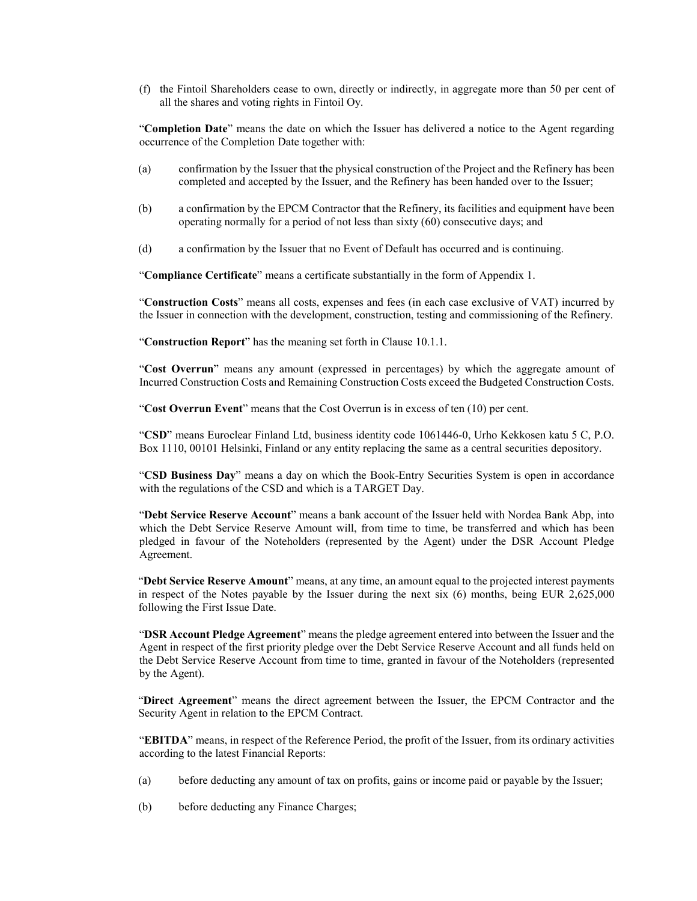(f) the Fintoil Shareholders cease to own, directly or indirectly, in aggregate more than 50 per cent of all the shares and voting rights in Fintoil Oy.

"**Completion Date**" means the date on which the Issuer has delivered a notice to the Agent regarding occurrence of the Completion Date together with:

- (a) confirmation by the Issuer that the physical construction of the Project and the Refinery has been completed and accepted by the Issuer, and the Refinery has been handed over to the Issuer;
- (b) a confirmation by the EPCM Contractor that the Refinery, its facilities and equipment have been operating normally for a period of not less than sixty (60) consecutive days; and
- (d) a confirmation by the Issuer that no Event of Default has occurred and is continuing.

"**Compliance Certificate**" means a certificate substantially in the form of Appendix 1.

"**Construction Costs**" means all costs, expenses and fees (in each case exclusive of VAT) incurred by the Issuer in connection with the development, construction, testing and commissioning of the Refinery.

"**Construction Report**" has the meaning set forth in Clause 10.1.1.

"**Cost Overrun**" means any amount (expressed in percentages) by which the aggregate amount of Incurred Construction Costs and Remaining Construction Costs exceed the Budgeted Construction Costs.

"**Cost Overrun Event**" means that the Cost Overrun is in excess of ten (10) per cent.

"**CSD**" means Euroclear Finland Ltd, business identity code 1061446-0, Urho Kekkosen katu 5 C, P.O. Box 1110, 00101 Helsinki, Finland or any entity replacing the same as a central securities depository.

"**CSD Business Day**" means a day on which the Book-Entry Securities System is open in accordance with the regulations of the CSD and which is a TARGET Day.

"**Debt Service Reserve Account**" means a bank account of the Issuer held with Nordea Bank Abp, into which the Debt Service Reserve Amount will, from time to time, be transferred and which has been pledged in favour of the Noteholders (represented by the Agent) under the DSR Account Pledge Agreement.

"**Debt Service Reserve Amount**" means, at any time, an amount equal to the projected interest payments in respect of the Notes payable by the Issuer during the next six (6) months, being EUR 2,625,000 following the First Issue Date.

"**DSR Account Pledge Agreement**" means the pledge agreement entered into between the Issuer and the Agent in respect of the first priority pledge over the Debt Service Reserve Account and all funds held on the Debt Service Reserve Account from time to time, granted in favour of the Noteholders (represented by the Agent).

"**Direct Agreement**" means the direct agreement between the Issuer, the EPCM Contractor and the Security Agent in relation to the EPCM Contract.

"**EBITDA**" means, in respect of the Reference Period, the profit of the Issuer, from its ordinary activities according to the latest Financial Reports:

- (a) before deducting any amount of tax on profits, gains or income paid or payable by the Issuer;
- (b) before deducting any Finance Charges;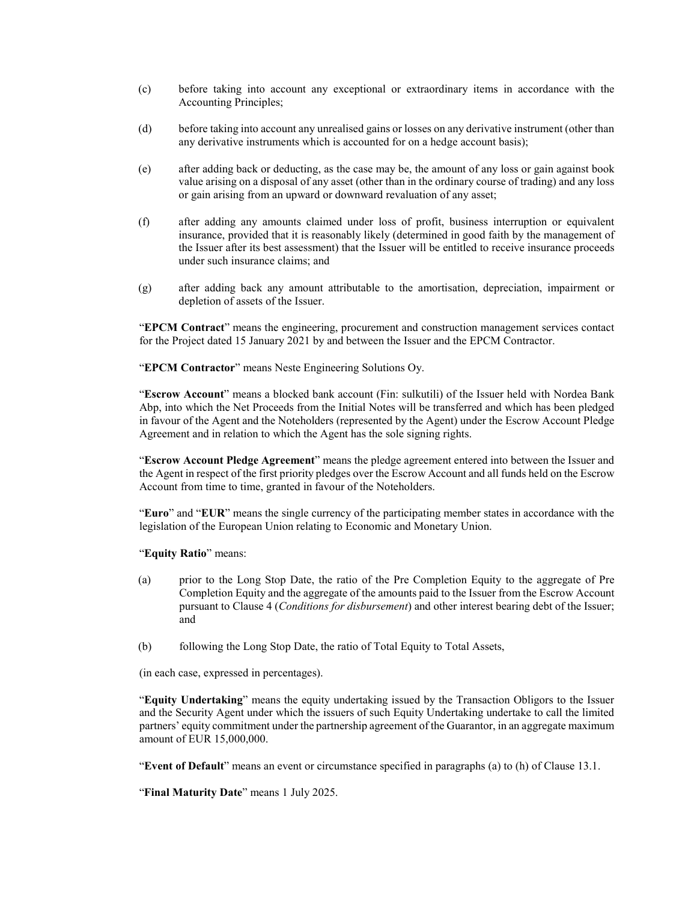- (c) before taking into account any exceptional or extraordinary items in accordance with the Accounting Principles;
- (d) before taking into account any unrealised gains or losses on any derivative instrument (other than any derivative instruments which is accounted for on a hedge account basis);
- (e) after adding back or deducting, as the case may be, the amount of any loss or gain against book value arising on a disposal of any asset (other than in the ordinary course of trading) and any loss or gain arising from an upward or downward revaluation of any asset;
- (f) after adding any amounts claimed under loss of profit, business interruption or equivalent insurance, provided that it is reasonably likely (determined in good faith by the management of the Issuer after its best assessment) that the Issuer will be entitled to receive insurance proceeds under such insurance claims; and
- (g) after adding back any amount attributable to the amortisation, depreciation, impairment or depletion of assets of the Issuer.

"**EPCM Contract**" means the engineering, procurement and construction management services contact for the Project dated 15 January 2021 by and between the Issuer and the EPCM Contractor.

"**EPCM Contractor**" means Neste Engineering Solutions Oy.

"**Escrow Account**" means a blocked bank account (Fin: sulkutili) of the Issuer held with Nordea Bank Abp, into which the Net Proceeds from the Initial Notes will be transferred and which has been pledged in favour of the Agent and the Noteholders (represented by the Agent) under the Escrow Account Pledge Agreement and in relation to which the Agent has the sole signing rights.

"**Escrow Account Pledge Agreement**" means the pledge agreement entered into between the Issuer and the Agent in respect of the first priority pledges over the Escrow Account and all funds held on the Escrow Account from time to time, granted in favour of the Noteholders.

"**Euro**" and "**EUR**" means the single currency of the participating member states in accordance with the legislation of the European Union relating to Economic and Monetary Union.

"**Equity Ratio**" means:

- (a) prior to the Long Stop Date, the ratio of the Pre Completion Equity to the aggregate of Pre Completion Equity and the aggregate of the amounts paid to the Issuer from the Escrow Account pursuant to Clause 4 (*Conditions for disbursement*) and other interest bearing debt of the Issuer; and
- (b) following the Long Stop Date, the ratio of Total Equity to Total Assets,

(in each case, expressed in percentages).

"**Equity Undertaking**" means the equity undertaking issued by the Transaction Obligors to the Issuer and the Security Agent under which the issuers of such Equity Undertaking undertake to call the limited partners' equity commitment under the partnership agreement of the Guarantor, in an aggregate maximum amount of EUR 15,000,000.

"**Event of Default**" means an event or circumstance specified in paragraphs (a) to (h) of Clause 13.1.

"**Final Maturity Date**" means 1 July 2025.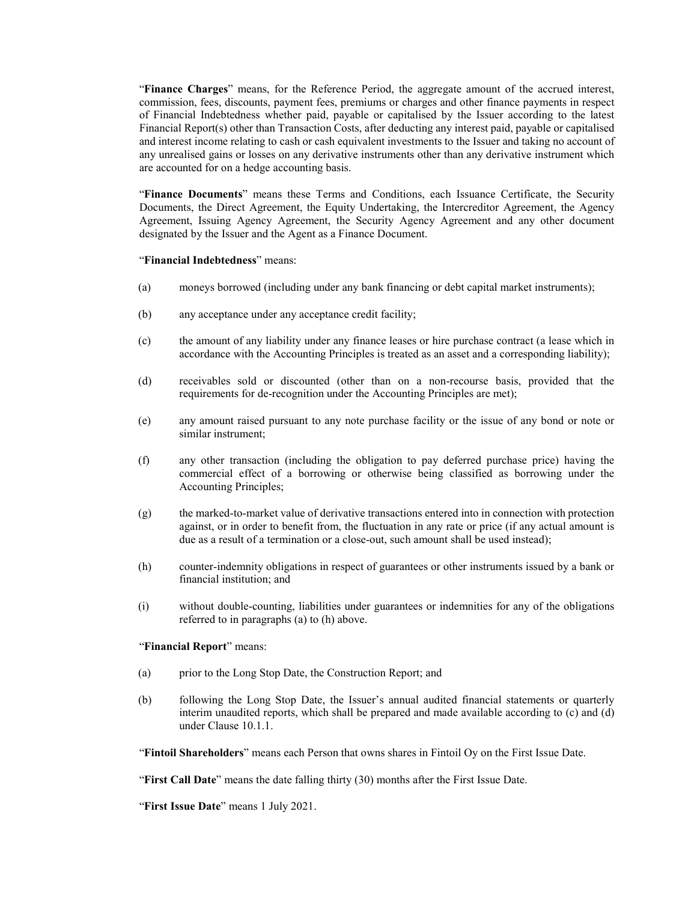"**Finance Charges**" means, for the Reference Period, the aggregate amount of the accrued interest, commission, fees, discounts, payment fees, premiums or charges and other finance payments in respect of Financial Indebtedness whether paid, payable or capitalised by the Issuer according to the latest Financial Report(s) other than Transaction Costs, after deducting any interest paid, payable or capitalised and interest income relating to cash or cash equivalent investments to the Issuer and taking no account of any unrealised gains or losses on any derivative instruments other than any derivative instrument which are accounted for on a hedge accounting basis.

"**Finance Documents**" means these Terms and Conditions, each Issuance Certificate, the Security Documents, the Direct Agreement, the Equity Undertaking, the Intercreditor Agreement, the Agency Agreement, Issuing Agency Agreement, the Security Agency Agreement and any other document designated by the Issuer and the Agent as a Finance Document.

#### "**Financial Indebtedness**" means:

- (a) moneys borrowed (including under any bank financing or debt capital market instruments);
- (b) any acceptance under any acceptance credit facility;
- (c) the amount of any liability under any finance leases or hire purchase contract (a lease which in accordance with the Accounting Principles is treated as an asset and a corresponding liability);
- (d) receivables sold or discounted (other than on a non-recourse basis, provided that the requirements for de-recognition under the Accounting Principles are met);
- (e) any amount raised pursuant to any note purchase facility or the issue of any bond or note or similar instrument;
- (f) any other transaction (including the obligation to pay deferred purchase price) having the commercial effect of a borrowing or otherwise being classified as borrowing under the Accounting Principles;
- (g) the marked-to-market value of derivative transactions entered into in connection with protection against, or in order to benefit from, the fluctuation in any rate or price (if any actual amount is due as a result of a termination or a close-out, such amount shall be used instead);
- <span id="page-3-0"></span>(h) counter-indemnity obligations in respect of guarantees or other instruments issued by a bank or financial institution; and
- (i) without double-counting, liabilities under guarantees or indemnities for any of the obligations referred to in paragraphs (a) t[o \(h\)](#page-3-0) above.

#### "**Financial Report**" means:

- (a) prior to the Long Stop Date, the Construction Report; and
- (b) following the Long Stop Date, the Issuer's annual audited financial statements or quarterly interim unaudited reports, which shall be prepared and made available according to (c) and (d) under Clause 10.1.1.

"**Fintoil Shareholders**" means each Person that owns shares in Fintoil Oy on the First Issue Date.

"**First Call Date**" means the date falling thirty (30) months after the First Issue Date.

"**First Issue Date**" means 1 July 2021.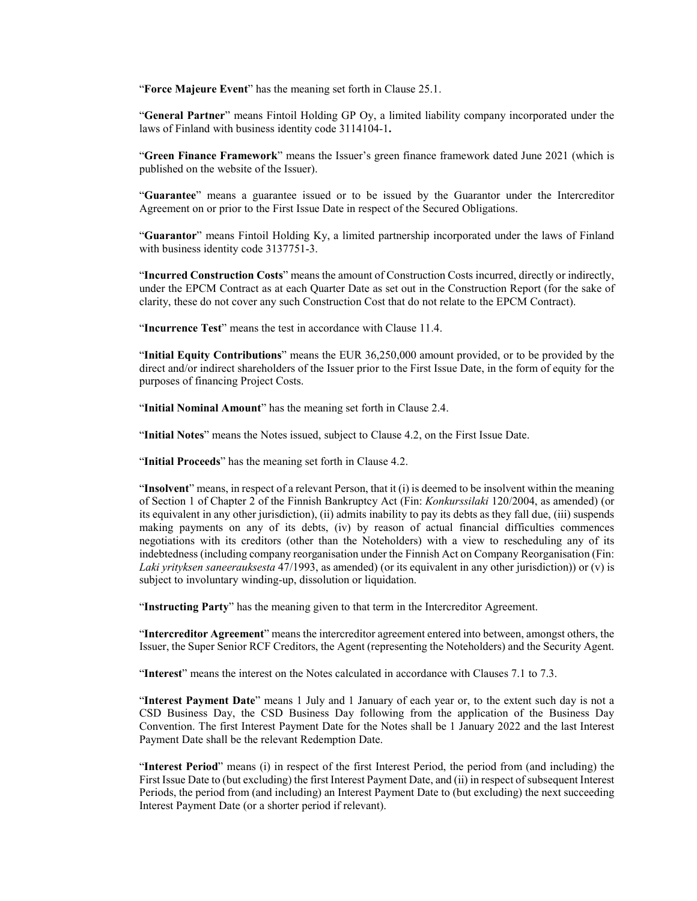"**Force Majeure Event**" has the meaning set forth in Clause 25.1.

"**General Partner**" means Fintoil Holding GP Oy, a limited liability company incorporated under the laws of Finland with business identity code 3114104-1**.** 

"**Green Finance Framework**" means the Issuer's green finance framework dated June 2021 (which is published on the website of the Issuer).

"**Guarantee**" means a guarantee issued or to be issued by the Guarantor under the Intercreditor Agreement on or prior to the First Issue Date in respect of the Secured Obligations.

"**Guarantor**" means Fintoil Holding Ky, a limited partnership incorporated under the laws of Finland with business identity code 3137751-3.

"**Incurred Construction Costs**" means the amount of Construction Costs incurred, directly or indirectly, under the EPCM Contract as at each Quarter Date as set out in the Construction Report (for the sake of clarity, these do not cover any such Construction Cost that do not relate to the EPCM Contract).

"**Incurrence Test**" means the test in accordance with Clause 11.4.

"**Initial Equity Contributions**" means the EUR 36,250,000 amount provided, or to be provided by the direct and/or indirect shareholders of the Issuer prior to the First Issue Date, in the form of equity for the purposes of financing Project Costs.

"**Initial Nominal Amount**" has the meaning set forth in Clause 2.4.

"**Initial Notes**" means the Notes issued, subject to Clause 4.2, on the First Issue Date.

"**Initial Proceeds**" has the meaning set forth in Clause 4.2.

"**Insolvent**" means, in respect of a relevant Person, that it (i) is deemed to be insolvent within the meaning of Section 1 of Chapter 2 of the Finnish Bankruptcy Act (Fin: *Konkurssilaki* 120/2004, as amended) (or its equivalent in any other jurisdiction), (ii) admits inability to pay its debts as they fall due, (iii) suspends making payments on any of its debts, (iv) by reason of actual financial difficulties commences negotiations with its creditors (other than the Noteholders) with a view to rescheduling any of its indebtedness (including company reorganisation under the Finnish Act on Company Reorganisation (Fin: *Laki yrityksen saneerauksesta* 47/1993, as amended) (or its equivalent in any other jurisdiction)) or (v) is subject to involuntary winding-up, dissolution or liquidation.

"**Instructing Party**" has the meaning given to that term in the Intercreditor Agreement.

"**Intercreditor Agreement**" means the intercreditor agreement entered into between, amongst others, the Issuer, the Super Senior RCF Creditors, the Agent (representing the Noteholders) and the Security Agent.

"**Interest**" means the interest on the Notes calculated in accordance with Clauses 7.1 to 7.3.

"**Interest Payment Date**" means 1 July and 1 January of each year or, to the extent such day is not a CSD Business Day, the CSD Business Day following from the application of the Business Day Convention. The first Interest Payment Date for the Notes shall be 1 January 2022 and the last Interest Payment Date shall be the relevant Redemption Date.

"**Interest Period**" means (i) in respect of the first Interest Period, the period from (and including) the First Issue Date to (but excluding) the first Interest Payment Date, and (ii) in respect of subsequent Interest Periods, the period from (and including) an Interest Payment Date to (but excluding) the next succeeding Interest Payment Date (or a shorter period if relevant).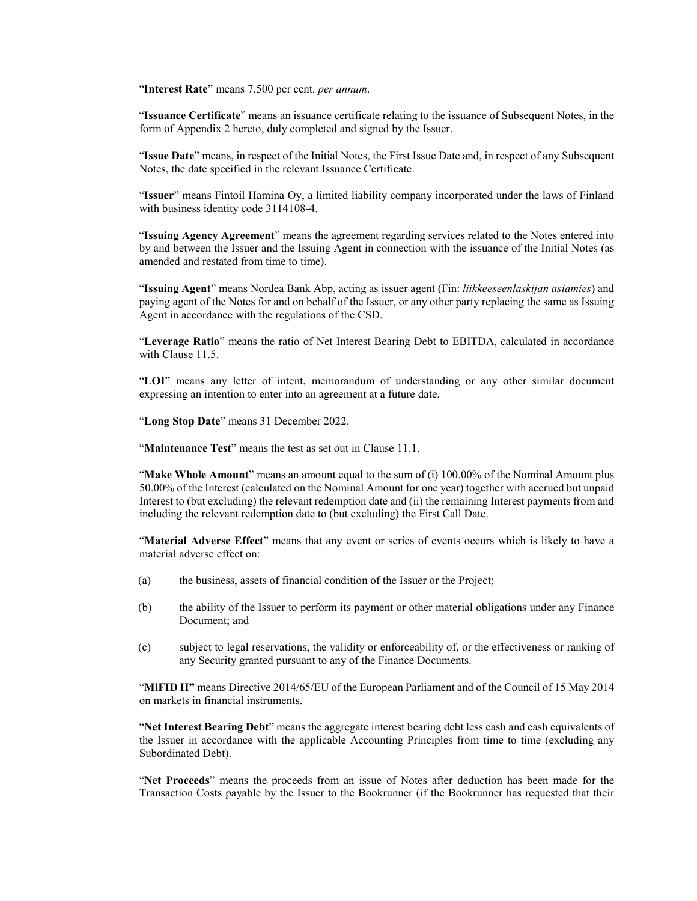"**Interest Rate**" means 7.500 per cent. *per annum*.

"**Issuance Certificate**" means an issuance certificate relating to the issuance of Subsequent Notes, in the form of Appendix 2 hereto, duly completed and signed by the Issuer.

"**Issue Date**" means, in respect of the Initial Notes, the First Issue Date and, in respect of any Subsequent Notes, the date specified in the relevant Issuance Certificate.

"**Issuer**" means Fintoil Hamina Oy, a limited liability company incorporated under the laws of Finland with business identity code 3114108-4.

"**Issuing Agency Agreement**" means the agreement regarding services related to the Notes entered into by and between the Issuer and the Issuing Agent in connection with the issuance of the Initial Notes (as amended and restated from time to time).

"**Issuing Agent**" means Nordea Bank Abp, acting as issuer agent (Fin: *liikkeeseenlaskijan asiamies*) and paying agent of the Notes for and on behalf of the Issuer, or any other party replacing the same as Issuing Agent in accordance with the regulations of the CSD.

"**Leverage Ratio**" means the ratio of Net Interest Bearing Debt to EBITDA, calculated in accordance with Clause 11.5.

"**LOI**" means any letter of intent, memorandum of understanding or any other similar document expressing an intention to enter into an agreement at a future date.

"**Long Stop Date**" means 31 December 2022.

"**Maintenance Test**" means the test as set out in Clause 11.1.

"**Make Whole Amount**" means an amount equal to the sum of (i) 100.00% of the Nominal Amount plus 50.00% of the Interest (calculated on the Nominal Amount for one year) together with accrued but unpaid Interest to (but excluding) the relevant redemption date and (ii) the remaining Interest payments from and including the relevant redemption date to (but excluding) the First Call Date.

"**Material Adverse Effect**" means that any event or series of events occurs which is likely to have a material adverse effect on:

- (a) the business, assets of financial condition of the Issuer or the Project;
- (b) the ability of the Issuer to perform its payment or other material obligations under any Finance Document; and
- (c) subject to legal reservations, the validity or enforceability of, or the effectiveness or ranking of any Security granted pursuant to any of the Finance Documents.

"**MiFID II"** means Directive 2014/65/EU of the European Parliament and of the Council of 15 May 2014 on markets in financial instruments.

"**Net Interest Bearing Debt**" means the aggregate interest bearing debt less cash and cash equivalents of the Issuer in accordance with the applicable Accounting Principles from time to time (excluding any Subordinated Debt).

"**Net Proceeds**" means the proceeds from an issue of Notes after deduction has been made for the Transaction Costs payable by the Issuer to the Bookrunner (if the Bookrunner has requested that their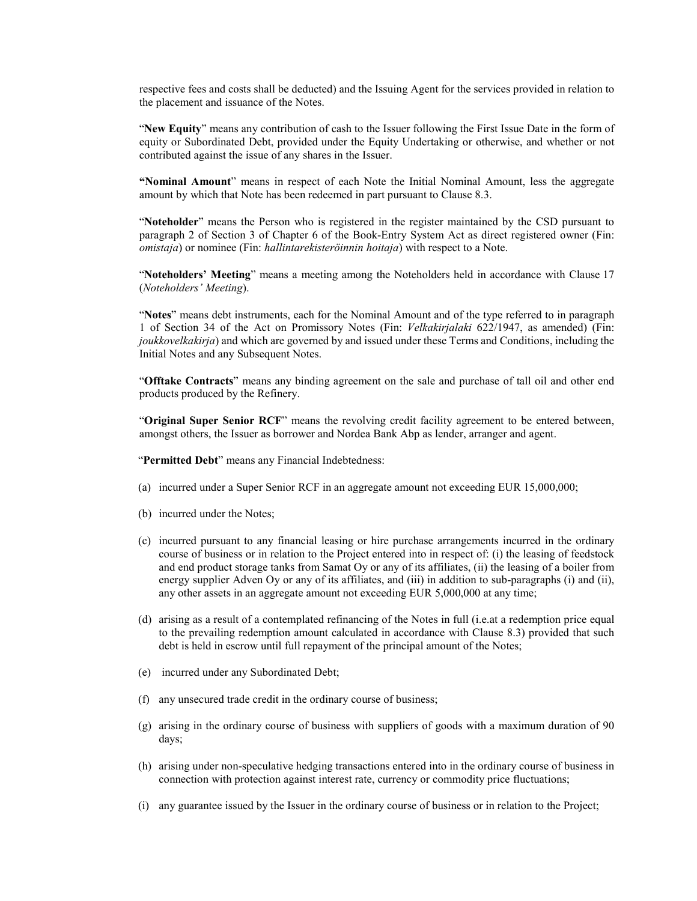respective fees and costs shall be deducted) and the Issuing Agent for the services provided in relation to the placement and issuance of the Notes.

"**New Equity**" means any contribution of cash to the Issuer following the First Issue Date in the form of equity or Subordinated Debt, provided under the Equity Undertaking or otherwise, and whether or not contributed against the issue of any shares in the Issuer.

**"Nominal Amount**" means in respect of each Note the Initial Nominal Amount, less the aggregate amount by which that Note has been redeemed in part pursuant to Clause 8.3.

"**Noteholder**" means the Person who is registered in the register maintained by the CSD pursuant to paragraph 2 of Section 3 of Chapter 6 of the Book-Entry System Act as direct registered owner (Fin: *omistaja*) or nominee (Fin: *hallintarekisteröinnin hoitaja*) with respect to a Note.

"**Noteholders' Meeting**" means a meeting among the Noteholders held in accordance with Clause 17 (*Noteholders' Meeting*).

"**Notes**" means debt instruments, each for the Nominal Amount and of the type referred to in paragraph 1 of Section 34 of the Act on Promissory Notes (Fin: *Velkakirjalaki* 622/1947, as amended) (Fin: *joukkovelkakirja*) and which are governed by and issued under these Terms and Conditions, including the Initial Notes and any Subsequent Notes.

"**Offtake Contracts**" means any binding agreement on the sale and purchase of tall oil and other end products produced by the Refinery.

"**Original Super Senior RCF**" means the revolving credit facility agreement to be entered between, amongst others, the Issuer as borrower and Nordea Bank Abp as lender, arranger and agent.

"**Permitted Debt**" means any Financial Indebtedness:

- (a) incurred under a Super Senior RCF in an aggregate amount not exceeding EUR 15,000,000;
- (b) incurred under the Notes;
- (c) incurred pursuant to any financial leasing or hire purchase arrangements incurred in the ordinary course of business or in relation to the Project entered into in respect of: (i) the leasing of feedstock and end product storage tanks from Samat Oy or any of its affiliates, (ii) the leasing of a boiler from energy supplier Adven Oy or any of its affiliates, and (iii) in addition to sub-paragraphs (i) and (ii), any other assets in an aggregate amount not exceeding EUR 5,000,000 at any time;
- (d) arising as a result of a contemplated refinancing of the Notes in full (i.e.at a redemption price equal to the prevailing redemption amount calculated in accordance with Clause 8.3) provided that such debt is held in escrow until full repayment of the principal amount of the Notes;
- (e) incurred under any Subordinated Debt;
- (f) any unsecured trade credit in the ordinary course of business;
- (g) arising in the ordinary course of business with suppliers of goods with a maximum duration of 90 days;
- <span id="page-6-0"></span>(h) arising under non-speculative hedging transactions entered into in the ordinary course of business in connection with protection against interest rate, currency or commodity price fluctuations;
- (i) any guarantee issued by the Issuer in the ordinary course of business or in relation to the Project;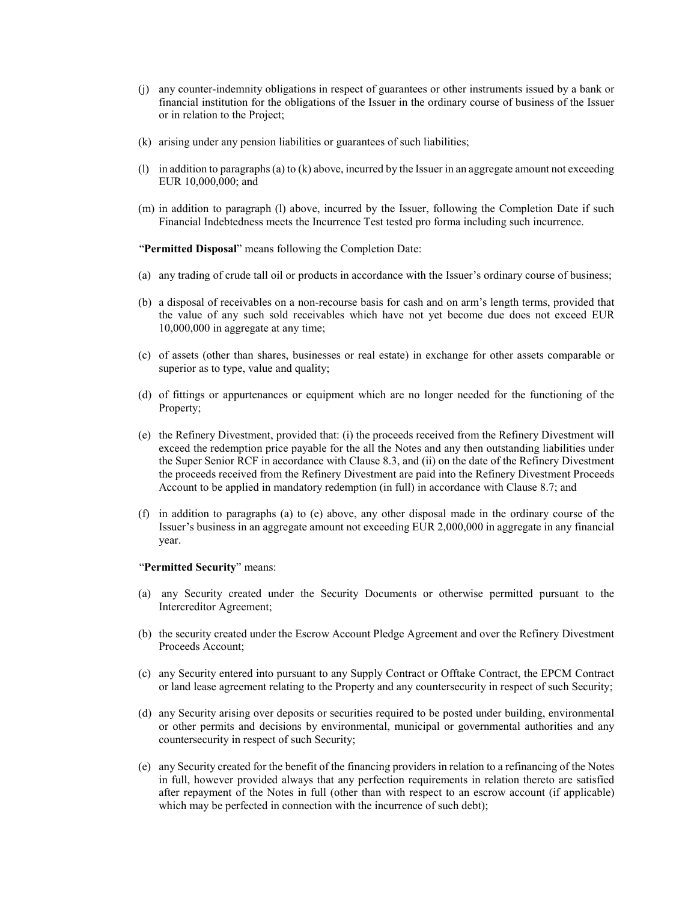- (j) any counter-indemnity obligations in respect of guarantees or other instruments issued by a bank or financial institution for the obligations of the Issuer in the ordinary course of business of the Issuer or in relation to the Project;
- (k) arising under any pension liabilities or guarantees of such liabilities;
- (l) in addition to paragraphs (a) to (k) above, incurred by the Issuer in an aggregate amount not exceeding EUR 10,000,000; and
- (m) in addition to paragraph (l) above, incurred by the Issuer, following the Completion Date if such Financial Indebtedness meets the Incurrence Test tested pro forma including such incurrence.

"**Permitted Disposal**" means following the Completion Date:

- (a) any trading of crude tall oil or products in accordance with the Issuer's ordinary course of business;
- (b) a disposal of receivables on a non-recourse basis for cash and on arm's length terms, provided that the value of any such sold receivables which have not yet become due does not exceed EUR 10,000,000 in aggregate at any time;
- (c) of assets (other than shares, businesses or real estate) in exchange for other assets comparable or superior as to type, value and quality;
- (d) of fittings or appurtenances or equipment which are no longer needed for the functioning of the Property;
- (e) the Refinery Divestment, provided that: (i) the proceeds received from the Refinery Divestment will exceed the redemption price payable for the all the Notes and any then outstanding liabilities under the Super Senior RCF in accordance with Clause 8.3, and (ii) on the date of the Refinery Divestment the proceeds received from the Refinery Divestment are paid into the Refinery Divestment Proceeds Account to be applied in mandatory redemption (in full) in accordance with Clause 8.7; and
- (f) in addition to paragraphs (a) to (e) above, any other disposal made in the ordinary course of the Issuer's business in an aggregate amount not exceeding EUR 2,000,000 in aggregate in any financial year.

#### "**Permitted Security**" means:

- (a) any Security created under the Security Documents or otherwise permitted pursuant to the Intercreditor Agreement;
- (b) the security created under the Escrow Account Pledge Agreement and over the Refinery Divestment Proceeds Account;
- (c) any Security entered into pursuant to any Supply Contract or Offtake Contract, the EPCM Contract or land lease agreement relating to the Property and any countersecurity in respect of such Security;
- (d) any Security arising over deposits or securities required to be posted under building, environmental or other permits and decisions by environmental, municipal or governmental authorities and any countersecurity in respect of such Security;
- (e) any Security created for the benefit of the financing providers in relation to a refinancing of the Notes in full, however provided always that any perfection requirements in relation thereto are satisfied after repayment of the Notes in full (other than with respect to an escrow account (if applicable) which may be perfected in connection with the incurrence of such debt);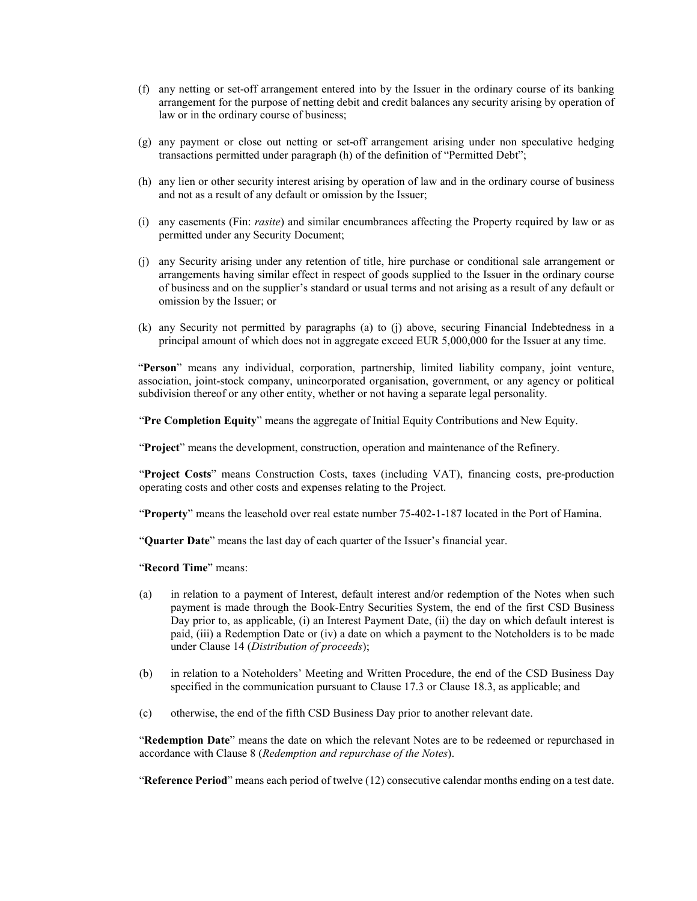- (f) any netting or set-off arrangement entered into by the Issuer in the ordinary course of its banking arrangement for the purpose of netting debit and credit balances any security arising by operation of law or in the ordinary course of business;
- (g) any payment or close out netting or set-off arrangement arising under non speculative hedging transactions permitted under paragraph [\(h\)](#page-6-0) of the definition of "Permitted Debt";
- (h) any lien or other security interest arising by operation of law and in the ordinary course of business and not as a result of any default or omission by the Issuer;
- (i) any easements (Fin: *rasite*) and similar encumbrances affecting the Property required by law or as permitted under any Security Document;
- (j) any Security arising under any retention of title, hire purchase or conditional sale arrangement or arrangements having similar effect in respect of goods supplied to the Issuer in the ordinary course of business and on the supplier's standard or usual terms and not arising as a result of any default or omission by the Issuer; or
- (k) any Security not permitted by paragraphs (a) to (j) above, securing Financial Indebtedness in a principal amount of which does not in aggregate exceed EUR 5,000,000 for the Issuer at any time.

"**Person**" means any individual, corporation, partnership, limited liability company, joint venture, association, joint-stock company, unincorporated organisation, government, or any agency or political subdivision thereof or any other entity, whether or not having a separate legal personality.

"**Pre Completion Equity**" means the aggregate of Initial Equity Contributions and New Equity.

"**Project**" means the development, construction, operation and maintenance of the Refinery.

"**Project Costs**" means Construction Costs, taxes (including VAT), financing costs, pre-production operating costs and other costs and expenses relating to the Project.

"**Property**" means the leasehold over real estate number 75-402-1-187 located in the Port of Hamina.

"**Quarter Date**" means the last day of each quarter of the Issuer's financial year.

"**Record Time**" means:

- (a) in relation to a payment of Interest, default interest and/or redemption of the Notes when such payment is made through the Book-Entry Securities System, the end of the first CSD Business Day prior to, as applicable, (i) an Interest Payment Date, (ii) the day on which default interest is paid, (iii) a Redemption Date or (iv) a date on which a payment to the Noteholders is to be made under Clause 14 (*Distribution of proceeds*);
- (b) in relation to a Noteholders' Meeting and Written Procedure, the end of the CSD Business Day specified in the communication pursuant to Clause 17.3 or Clause 18.3, as applicable; and
- (c) otherwise, the end of the fifth CSD Business Day prior to another relevant date.

"**Redemption Date**" means the date on which the relevant Notes are to be redeemed or repurchased in accordance with Clause 8 (*Redemption and repurchase of the Notes*).

"**Reference Period**" means each period of twelve (12) consecutive calendar months ending on a test date.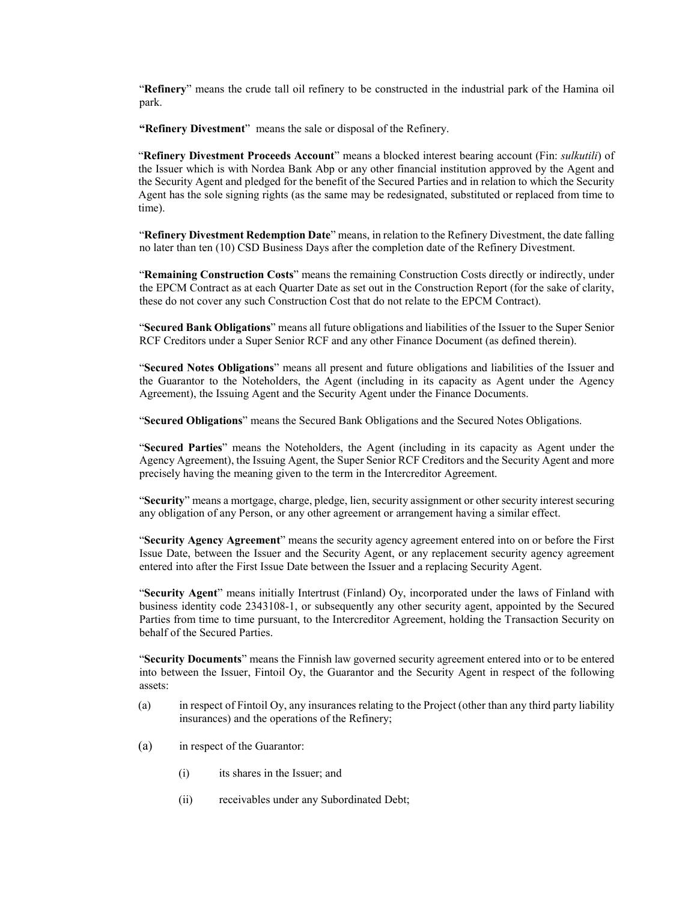"**Refinery**" means the crude tall oil refinery to be constructed in the industrial park of the Hamina oil park.

**"Refinery Divestment**" means the sale or disposal of the Refinery.

"**Refinery Divestment Proceeds Account**" means a blocked interest bearing account (Fin: *sulkutili*) of the Issuer which is with Nordea Bank Abp or any other financial institution approved by the Agent and the Security Agent and pledged for the benefit of the Secured Parties and in relation to which the Security Agent has the sole signing rights (as the same may be redesignated, substituted or replaced from time to time).

"**Refinery Divestment Redemption Date**" means, in relation to the Refinery Divestment, the date falling no later than ten (10) CSD Business Days after the completion date of the Refinery Divestment.

"**Remaining Construction Costs**" means the remaining Construction Costs directly or indirectly, under the EPCM Contract as at each Quarter Date as set out in the Construction Report (for the sake of clarity, these do not cover any such Construction Cost that do not relate to the EPCM Contract).

"**Secured Bank Obligations**" means all future obligations and liabilities of the Issuer to the Super Senior RCF Creditors under a Super Senior RCF and any other Finance Document (as defined therein).

"**Secured Notes Obligations**" means all present and future obligations and liabilities of the Issuer and the Guarantor to the Noteholders, the Agent (including in its capacity as Agent under the Agency Agreement), the Issuing Agent and the Security Agent under the Finance Documents.

"**Secured Obligations**" means the Secured Bank Obligations and the Secured Notes Obligations.

"**Secured Parties**" means the Noteholders, the Agent (including in its capacity as Agent under the Agency Agreement), the Issuing Agent, the Super Senior RCF Creditors and the Security Agent and more precisely having the meaning given to the term in the Intercreditor Agreement.

"**Security**" means a mortgage, charge, pledge, lien, security assignment or other security interest securing any obligation of any Person, or any other agreement or arrangement having a similar effect.

"**Security Agency Agreement**" means the security agency agreement entered into on or before the First Issue Date, between the Issuer and the Security Agent, or any replacement security agency agreement entered into after the First Issue Date between the Issuer and a replacing Security Agent.

"**Security Agent**" means initially Intertrust (Finland) Oy, incorporated under the laws of Finland with business identity code 2343108-1, or subsequently any other security agent, appointed by the Secured Parties from time to time pursuant, to the Intercreditor Agreement, holding the Transaction Security on behalf of the Secured Parties.

"**Security Documents**" means the Finnish law governed security agreement entered into or to be entered into between the Issuer, Fintoil Oy, the Guarantor and the Security Agent in respect of the following assets:

- (a) in respect of Fintoil Oy, any insurances relating to the Project (other than any third party liability insurances) and the operations of the Refinery;
- (a) in respect of the Guarantor:
	- (i) its shares in the Issuer; and
	- (ii) receivables under any Subordinated Debt;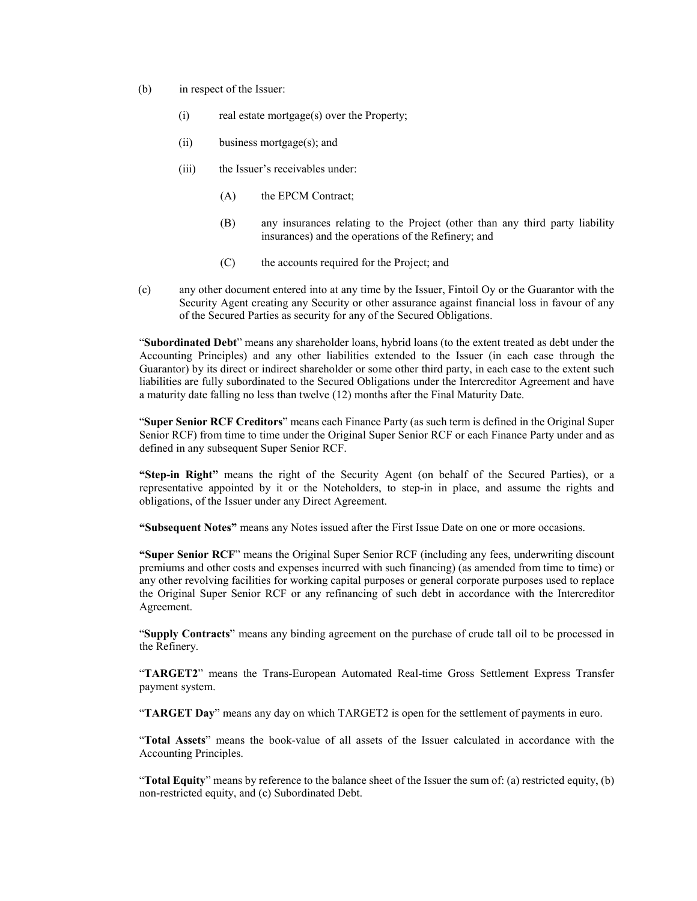- (b) in respect of the Issuer:
	- (i) real estate mortgage(s) over the Property;
	- (ii) business mortgage(s); and
	- (iii) the Issuer's receivables under:
		- (A) the EPCM Contract;
		- (B) any insurances relating to the Project (other than any third party liability insurances) and the operations of the Refinery; and
		- (C) the accounts required for the Project; and
- (c) any other document entered into at any time by the Issuer, Fintoil Oy or the Guarantor with the Security Agent creating any Security or other assurance against financial loss in favour of any of the Secured Parties as security for any of the Secured Obligations.

"**Subordinated Debt**" means any shareholder loans, hybrid loans (to the extent treated as debt under the Accounting Principles) and any other liabilities extended to the Issuer (in each case through the Guarantor) by its direct or indirect shareholder or some other third party, in each case to the extent such liabilities are fully subordinated to the Secured Obligations under the Intercreditor Agreement and have a maturity date falling no less than twelve (12) months after the Final Maturity Date.

"**Super Senior RCF Creditors**" means each Finance Party (as such term is defined in the Original Super Senior RCF) from time to time under the Original Super Senior RCF or each Finance Party under and as defined in any subsequent Super Senior RCF.

**"Step-in Right"** means the right of the Security Agent (on behalf of the Secured Parties), or a representative appointed by it or the Noteholders, to step-in in place, and assume the rights and obligations, of the Issuer under any Direct Agreement.

**"Subsequent Notes"** means any Notes issued after the First Issue Date on one or more occasions.

**"Super Senior RCF**" means the Original Super Senior RCF (including any fees, underwriting discount premiums and other costs and expenses incurred with such financing) (as amended from time to time) or any other revolving facilities for working capital purposes or general corporate purposes used to replace the Original Super Senior RCF or any refinancing of such debt in accordance with the Intercreditor Agreement.

"**Supply Contracts**" means any binding agreement on the purchase of crude tall oil to be processed in the Refinery.

"**TARGET2**" means the Trans-European Automated Real-time Gross Settlement Express Transfer payment system.

"**TARGET Day**" means any day on which TARGET2 is open for the settlement of payments in euro.

"**Total Assets**" means the book-value of all assets of the Issuer calculated in accordance with the Accounting Principles.

"**Total Equity**" means by reference to the balance sheet of the Issuer the sum of: (a) restricted equity, (b) non-restricted equity, and (c) Subordinated Debt.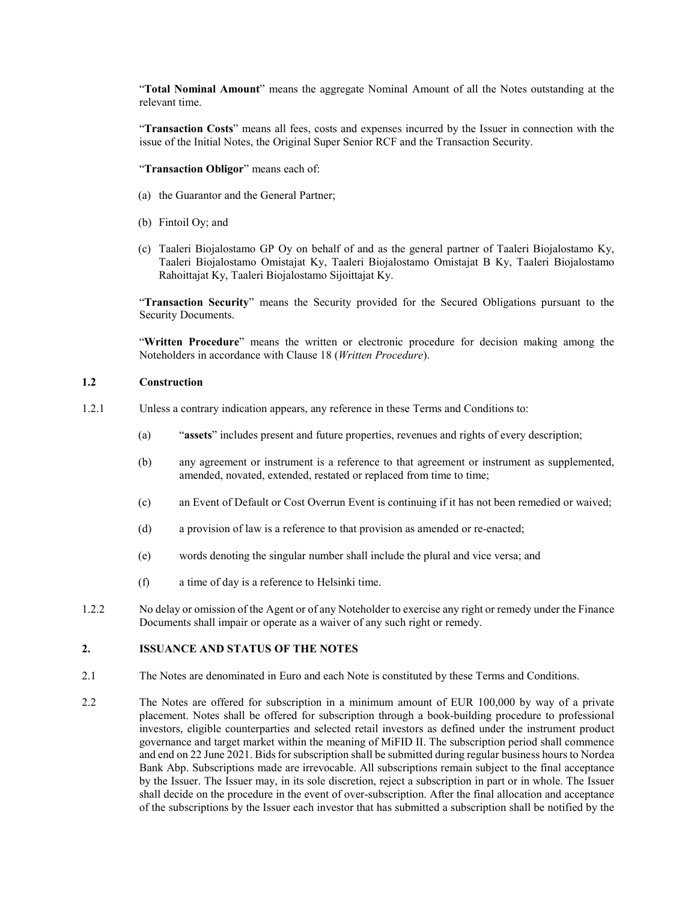"**Total Nominal Amount**" means the aggregate Nominal Amount of all the Notes outstanding at the relevant time.

"**Transaction Costs**" means all fees, costs and expenses incurred by the Issuer in connection with the issue of the Initial Notes, the Original Super Senior RCF and the Transaction Security.

"**Transaction Obligor**" means each of:

- (a) the Guarantor and the General Partner;
- (b) Fintoil Oy; and
- (c) Taaleri Biojalostamo GP Oy on behalf of and as the general partner of Taaleri Biojalostamo Ky, Taaleri Biojalostamo Omistajat Ky, Taaleri Biojalostamo Omistajat B Ky, Taaleri Biojalostamo Rahoittajat Ky, Taaleri Biojalostamo Sijoittajat Ky.

"**Transaction Security**" means the Security provided for the Secured Obligations pursuant to the Security Documents.

"**Written Procedure**" means the written or electronic procedure for decision making among the Noteholders in accordance with Clause 18 (*Written Procedure*).

### **1.2 Construction**

- 1.2.1 Unless a contrary indication appears, any reference in these Terms and Conditions to:
	- (a) "**assets**" includes present and future properties, revenues and rights of every description;
	- (b) any agreement or instrument is a reference to that agreement or instrument as supplemented, amended, novated, extended, restated or replaced from time to time;
	- (c) an Event of Default or Cost Overrun Event is continuing if it has not been remedied or waived;
	- (d) a provision of law is a reference to that provision as amended or re-enacted;
	- (e) words denoting the singular number shall include the plural and vice versa; and
	- (f) a time of day is a reference to Helsinki time.
- 1.2.2 No delay or omission of the Agent or of any Noteholder to exercise any right or remedy under the Finance Documents shall impair or operate as a waiver of any such right or remedy.

#### **2. ISSUANCE AND STATUS OF THE NOTES**

- 2.1 The Notes are denominated in Euro and each Note is constituted by these Terms and Conditions.
- 2.2 The Notes are offered for subscription in a minimum amount of EUR 100,000 by way of a private placement. Notes shall be offered for subscription through a book-building procedure to professional investors, eligible counterparties and selected retail investors as defined under the instrument product governance and target market within the meaning of MiFID II. The subscription period shall commence and end on 22 June 2021. Bids for subscription shall be submitted during regular business hours to Nordea Bank Abp. Subscriptions made are irrevocable. All subscriptions remain subject to the final acceptance by the Issuer. The Issuer may, in its sole discretion, reject a subscription in part or in whole. The Issuer shall decide on the procedure in the event of over-subscription. After the final allocation and acceptance of the subscriptions by the Issuer each investor that has submitted a subscription shall be notified by the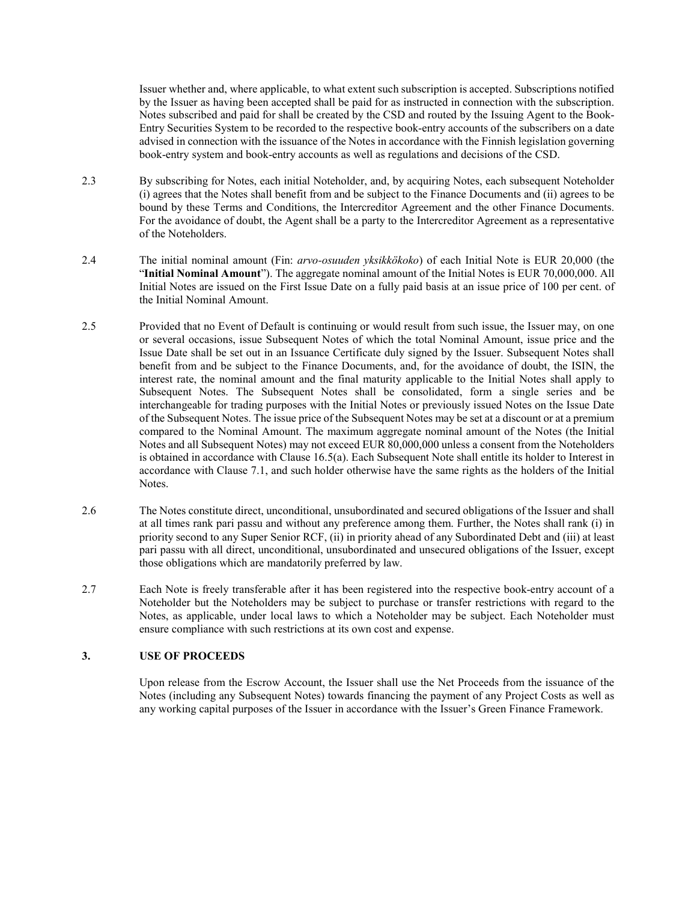Issuer whether and, where applicable, to what extent such subscription is accepted. Subscriptions notified by the Issuer as having been accepted shall be paid for as instructed in connection with the subscription. Notes subscribed and paid for shall be created by the CSD and routed by the Issuing Agent to the Book-Entry Securities System to be recorded to the respective book-entry accounts of the subscribers on a date advised in connection with the issuance of the Notes in accordance with the Finnish legislation governing book-entry system and book-entry accounts as well as regulations and decisions of the CSD.

- 2.3 By subscribing for Notes, each initial Noteholder, and, by acquiring Notes, each subsequent Noteholder (i) agrees that the Notes shall benefit from and be subject to the Finance Documents and (ii) agrees to be bound by these Terms and Conditions, the Intercreditor Agreement and the other Finance Documents. For the avoidance of doubt, the Agent shall be a party to the Intercreditor Agreement as a representative of the Noteholders.
- 2.4 The initial nominal amount (Fin: *arvo-osuuden yksikkökoko*) of each Initial Note is EUR 20,000 (the "**Initial Nominal Amount**"). The aggregate nominal amount of the Initial Notes is EUR 70,000,000. All Initial Notes are issued on the First Issue Date on a fully paid basis at an issue price of 100 per cent. of the Initial Nominal Amount.
- 2.5 Provided that no Event of Default is continuing or would result from such issue, the Issuer may, on one or several occasions, issue Subsequent Notes of which the total Nominal Amount, issue price and the Issue Date shall be set out in an Issuance Certificate duly signed by the Issuer. Subsequent Notes shall benefit from and be subject to the Finance Documents, and, for the avoidance of doubt, the ISIN, the interest rate, the nominal amount and the final maturity applicable to the Initial Notes shall apply to Subsequent Notes. The Subsequent Notes shall be consolidated, form a single series and be interchangeable for trading purposes with the Initial Notes or previously issued Notes on the Issue Date of the Subsequent Notes. The issue price of the Subsequent Notes may be set at a discount or at a premium compared to the Nominal Amount. The maximum aggregate nominal amount of the Notes (the Initial Notes and all Subsequent Notes) may not exceed EUR 80,000,000 unless a consent from the Noteholders is obtained in accordance with Clause 16.5(a). Each Subsequent Note shall entitle its holder to Interest in accordance with Clause 7.1, and such holder otherwise have the same rights as the holders of the Initial Notes.
- 2.6 The Notes constitute direct, unconditional, unsubordinated and secured obligations of the Issuer and shall at all times rank pari passu and without any preference among them. Further, the Notes shall rank (i) in priority second to any Super Senior RCF, (ii) in priority ahead of any Subordinated Debt and (iii) at least pari passu with all direct, unconditional, unsubordinated and unsecured obligations of the Issuer, except those obligations which are mandatorily preferred by law.
- 2.7 Each Note is freely transferable after it has been registered into the respective book-entry account of a Noteholder but the Noteholders may be subject to purchase or transfer restrictions with regard to the Notes, as applicable, under local laws to which a Noteholder may be subject. Each Noteholder must ensure compliance with such restrictions at its own cost and expense.

## **3. USE OF PROCEEDS**

Upon release from the Escrow Account, the Issuer shall use the Net Proceeds from the issuance of the Notes (including any Subsequent Notes) towards financing the payment of any Project Costs as well as any working capital purposes of the Issuer in accordance with the Issuer's Green Finance Framework.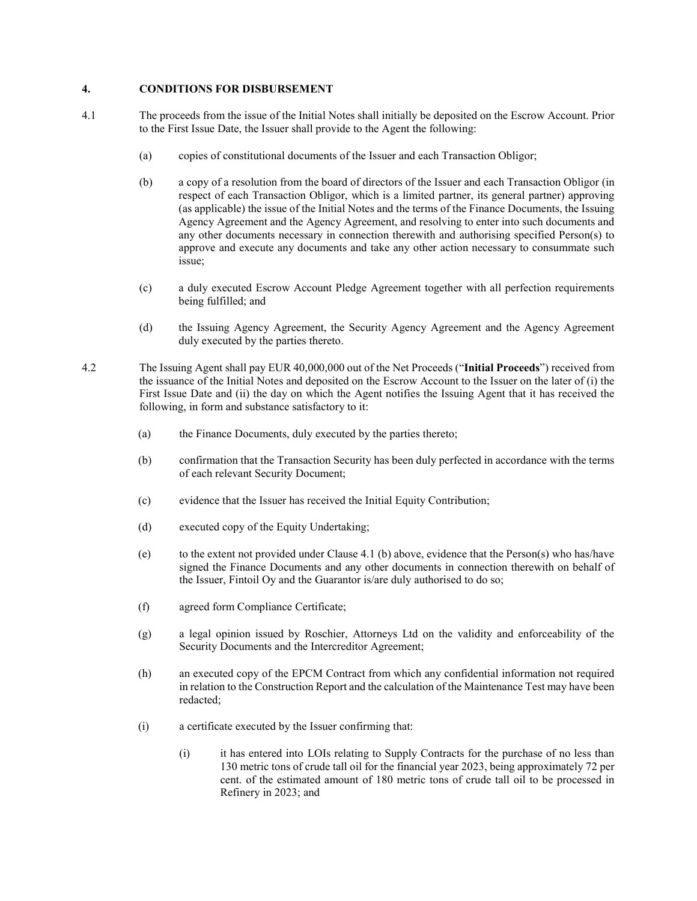## **4. CONDITIONS FOR DISBURSEMENT**

- 4.1 The proceeds from the issue of the Initial Notes shall initially be deposited on the Escrow Account. Prior to the First Issue Date, the Issuer shall provide to the Agent the following:
	- (a) copies of constitutional documents of the Issuer and each Transaction Obligor;
	- (b) a copy of a resolution from the board of directors of the Issuer and each Transaction Obligor (in respect of each Transaction Obligor, which is a limited partner, its general partner) approving (as applicable) the issue of the Initial Notes and the terms of the Finance Documents, the Issuing Agency Agreement and the Agency Agreement, and resolving to enter into such documents and any other documents necessary in connection therewith and authorising specified Person(s) to approve and execute any documents and take any other action necessary to consummate such issue;
	- (c) a duly executed Escrow Account Pledge Agreement together with all perfection requirements being fulfilled; and
	- (d) the Issuing Agency Agreement, the Security Agency Agreement and the Agency Agreement duly executed by the parties thereto.
- 4.2 The Issuing Agent shall pay EUR 40,000,000 out of the Net Proceeds ("**Initial Proceeds**") received from the issuance of the Initial Notes and deposited on the Escrow Account to the Issuer on the later of (i) the First Issue Date and (ii) the day on which the Agent notifies the Issuing Agent that it has received the following, in form and substance satisfactory to it:
	- (a) the Finance Documents, duly executed by the parties thereto;
	- (b) confirmation that the Transaction Security has been duly perfected in accordance with the terms of each relevant Security Document;
	- (c) evidence that the Issuer has received the Initial Equity Contribution;
	- (d) executed copy of the Equity Undertaking;
	- (e) to the extent not provided under Clause 4.1 (b) above, evidence that the Person(s) who has/have signed the Finance Documents and any other documents in connection therewith on behalf of the Issuer, Fintoil Oy and the Guarantor is/are duly authorised to do so;
	- (f) agreed form Compliance Certificate;
	- (g) a legal opinion issued by Roschier, Attorneys Ltd on the validity and enforceability of the Security Documents and the Intercreditor Agreement;
	- (h) an executed copy of the EPCM Contract from which any confidential information not required in relation to the Construction Report and the calculation of the Maintenance Test may have been redacted;
	- (i) a certificate executed by the Issuer confirming that:
		- (i) it has entered into LOIs relating to Supply Contracts for the purchase of no less than 130 metric tons of crude tall oil for the financial year 2023, being approximately 72 per cent. of the estimated amount of 180 metric tons of crude tall oil to be processed in Refinery in 2023; and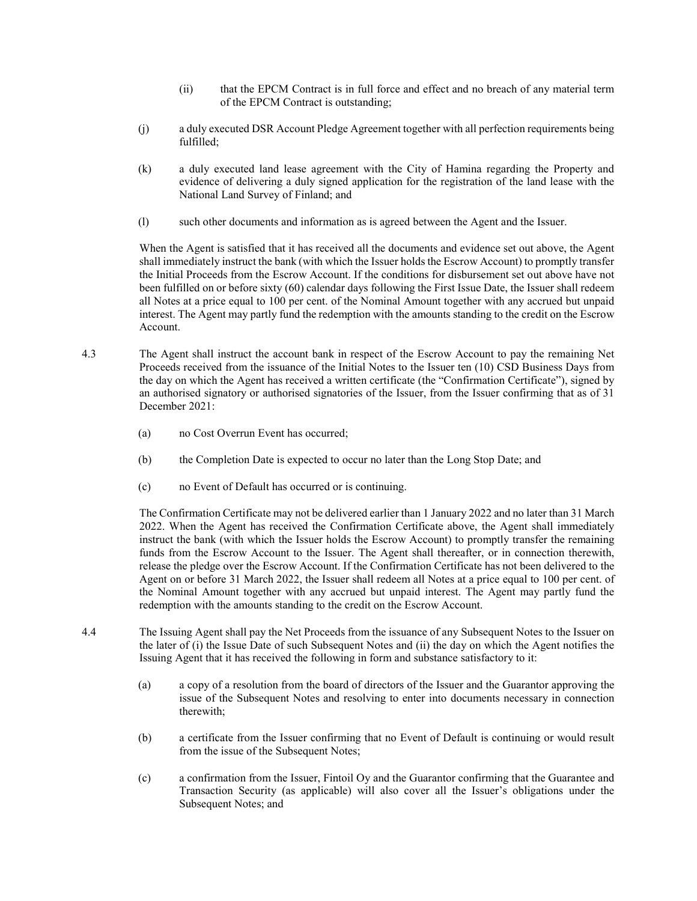- (ii) that the EPCM Contract is in full force and effect and no breach of any material term of the EPCM Contract is outstanding;
- (j) a duly executed DSR Account Pledge Agreement together with all perfection requirements being fulfilled;
- (k) a duly executed land lease agreement with the City of Hamina regarding the Property and evidence of delivering a duly signed application for the registration of the land lease with the National Land Survey of Finland; and
- (l) such other documents and information as is agreed between the Agent and the Issuer.

When the Agent is satisfied that it has received all the documents and evidence set out above, the Agent shall immediately instruct the bank (with which the Issuer holds the Escrow Account) to promptly transfer the Initial Proceeds from the Escrow Account. If the conditions for disbursement set out above have not been fulfilled on or before sixty (60) calendar days following the First Issue Date, the Issuer shall redeem all Notes at a price equal to 100 per cent. of the Nominal Amount together with any accrued but unpaid interest. The Agent may partly fund the redemption with the amounts standing to the credit on the Escrow Account.

- 4.3 The Agent shall instruct the account bank in respect of the Escrow Account to pay the remaining Net Proceeds received from the issuance of the Initial Notes to the Issuer ten (10) CSD Business Days from the day on which the Agent has received a written certificate (the "Confirmation Certificate"), signed by an authorised signatory or authorised signatories of the Issuer, from the Issuer confirming that as of 31 December 2021:
	- (a) no Cost Overrun Event has occurred;
	- (b) the Completion Date is expected to occur no later than the Long Stop Date; and
	- (c) no Event of Default has occurred or is continuing.

The Confirmation Certificate may not be delivered earlier than 1 January 2022 and no later than 31 March 2022. When the Agent has received the Confirmation Certificate above, the Agent shall immediately instruct the bank (with which the Issuer holds the Escrow Account) to promptly transfer the remaining funds from the Escrow Account to the Issuer. The Agent shall thereafter, or in connection therewith, release the pledge over the Escrow Account. If the Confirmation Certificate has not been delivered to the Agent on or before 31 March 2022, the Issuer shall redeem all Notes at a price equal to 100 per cent. of the Nominal Amount together with any accrued but unpaid interest. The Agent may partly fund the redemption with the amounts standing to the credit on the Escrow Account.

- 4.4 The Issuing Agent shall pay the Net Proceeds from the issuance of any Subsequent Notes to the Issuer on the later of (i) the Issue Date of such Subsequent Notes and (ii) the day on which the Agent notifies the Issuing Agent that it has received the following in form and substance satisfactory to it:
	- (a) a copy of a resolution from the board of directors of the Issuer and the Guarantor approving the issue of the Subsequent Notes and resolving to enter into documents necessary in connection therewith;
	- (b) a certificate from the Issuer confirming that no Event of Default is continuing or would result from the issue of the Subsequent Notes;
	- (c) a confirmation from the Issuer, Fintoil Oy and the Guarantor confirming that the Guarantee and Transaction Security (as applicable) will also cover all the Issuer's obligations under the Subsequent Notes; and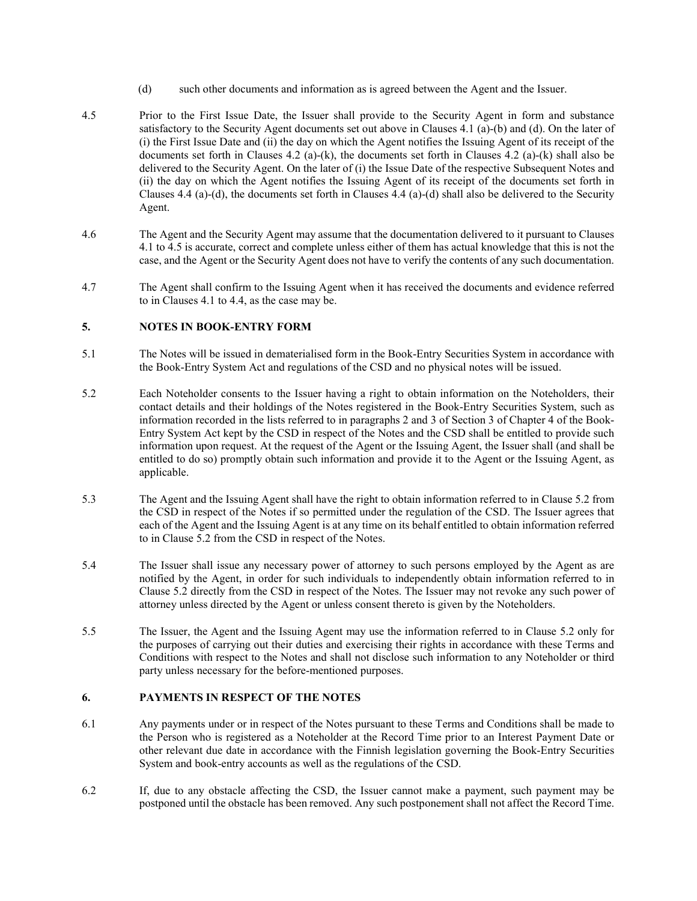- (d) such other documents and information as is agreed between the Agent and the Issuer.
- 4.5 Prior to the First Issue Date, the Issuer shall provide to the Security Agent in form and substance satisfactory to the Security Agent documents set out above in Clauses 4.1 (a)-(b) and (d). On the later of (i) the First Issue Date and (ii) the day on which the Agent notifies the Issuing Agent of its receipt of the documents set forth in Clauses 4.2 (a)-(k), the documents set forth in Clauses 4.2 (a)-(k) shall also be delivered to the Security Agent. On the later of (i) the Issue Date of the respective Subsequent Notes and (ii) the day on which the Agent notifies the Issuing Agent of its receipt of the documents set forth in Clauses 4.4 (a)-(d), the documents set forth in Clauses 4.4 (a)-(d) shall also be delivered to the Security Agent.
- 4.6 The Agent and the Security Agent may assume that the documentation delivered to it pursuant to Clauses 4.1 to 4.5 is accurate, correct and complete unless either of them has actual knowledge that this is not the case, and the Agent or the Security Agent does not have to verify the contents of any such documentation.
- 4.7 The Agent shall confirm to the Issuing Agent when it has received the documents and evidence referred to in Clauses 4.1 to 4.4, as the case may be.

## **5. NOTES IN BOOK-ENTRY FORM**

- 5.1 The Notes will be issued in dematerialised form in the Book-Entry Securities System in accordance with the Book-Entry System Act and regulations of the CSD and no physical notes will be issued.
- 5.2 Each Noteholder consents to the Issuer having a right to obtain information on the Noteholders, their contact details and their holdings of the Notes registered in the Book-Entry Securities System, such as information recorded in the lists referred to in paragraphs 2 and 3 of Section 3 of Chapter 4 of the Book-Entry System Act kept by the CSD in respect of the Notes and the CSD shall be entitled to provide such information upon request. At the request of the Agent or the Issuing Agent, the Issuer shall (and shall be entitled to do so) promptly obtain such information and provide it to the Agent or the Issuing Agent, as applicable.
- 5.3 The Agent and the Issuing Agent shall have the right to obtain information referred to in Clause 5.2 from the CSD in respect of the Notes if so permitted under the regulation of the CSD. The Issuer agrees that each of the Agent and the Issuing Agent is at any time on its behalf entitled to obtain information referred to in Clause 5.2 from the CSD in respect of the Notes.
- 5.4 The Issuer shall issue any necessary power of attorney to such persons employed by the Agent as are notified by the Agent, in order for such individuals to independently obtain information referred to in Clause 5.2 directly from the CSD in respect of the Notes. The Issuer may not revoke any such power of attorney unless directed by the Agent or unless consent thereto is given by the Noteholders.
- 5.5 The Issuer, the Agent and the Issuing Agent may use the information referred to in Clause 5.2 only for the purposes of carrying out their duties and exercising their rights in accordance with these Terms and Conditions with respect to the Notes and shall not disclose such information to any Noteholder or third party unless necessary for the before-mentioned purposes.

# **6. PAYMENTS IN RESPECT OF THE NOTES**

- 6.1 Any payments under or in respect of the Notes pursuant to these Terms and Conditions shall be made to the Person who is registered as a Noteholder at the Record Time prior to an Interest Payment Date or other relevant due date in accordance with the Finnish legislation governing the Book-Entry Securities System and book-entry accounts as well as the regulations of the CSD.
- 6.2 If, due to any obstacle affecting the CSD, the Issuer cannot make a payment, such payment may be postponed until the obstacle has been removed. Any such postponement shall not affect the Record Time.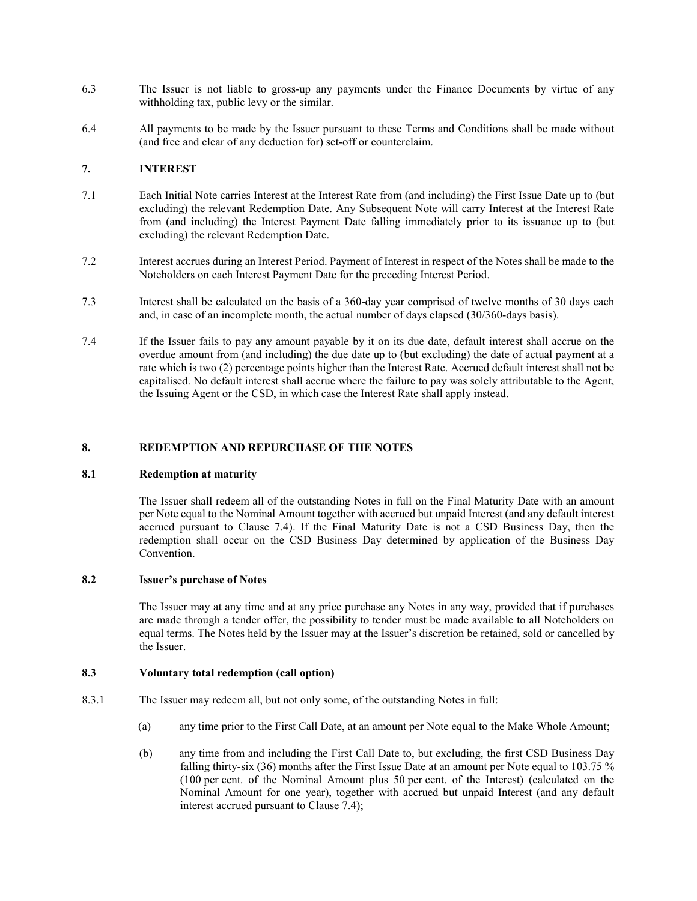- 6.3 The Issuer is not liable to gross-up any payments under the Finance Documents by virtue of any withholding tax, public levy or the similar.
- 6.4 All payments to be made by the Issuer pursuant to these Terms and Conditions shall be made without (and free and clear of any deduction for) set-off or counterclaim.

## **7. INTEREST**

- 7.1 Each Initial Note carries Interest at the Interest Rate from (and including) the First Issue Date up to (but excluding) the relevant Redemption Date. Any Subsequent Note will carry Interest at the Interest Rate from (and including) the Interest Payment Date falling immediately prior to its issuance up to (but excluding) the relevant Redemption Date.
- 7.2 Interest accrues during an Interest Period. Payment of Interest in respect of the Notes shall be made to the Noteholders on each Interest Payment Date for the preceding Interest Period.
- 7.3 Interest shall be calculated on the basis of a 360-day year comprised of twelve months of 30 days each and, in case of an incomplete month, the actual number of days elapsed (30/360-days basis).
- 7.4 If the Issuer fails to pay any amount payable by it on its due date, default interest shall accrue on the overdue amount from (and including) the due date up to (but excluding) the date of actual payment at a rate which is two (2) percentage points higher than the Interest Rate. Accrued default interest shall not be capitalised. No default interest shall accrue where the failure to pay was solely attributable to the Agent, the Issuing Agent or the CSD, in which case the Interest Rate shall apply instead.

#### **8. REDEMPTION AND REPURCHASE OF THE NOTES**

#### **8.1 Redemption at maturity**

The Issuer shall redeem all of the outstanding Notes in full on the Final Maturity Date with an amount per Note equal to the Nominal Amount together with accrued but unpaid Interest (and any default interest accrued pursuant to Clause 7.4). If the Final Maturity Date is not a CSD Business Day, then the redemption shall occur on the CSD Business Day determined by application of the Business Day Convention.

#### **8.2 Issuer's purchase of Notes**

The Issuer may at any time and at any price purchase any Notes in any way, provided that if purchases are made through a tender offer, the possibility to tender must be made available to all Noteholders on equal terms. The Notes held by the Issuer may at the Issuer's discretion be retained, sold or cancelled by the Issuer.

#### **8.3 Voluntary total redemption (call option)**

- 8.3.1 The Issuer may redeem all, but not only some, of the outstanding Notes in full:
	- (a) any time prior to the First Call Date, at an amount per Note equal to the Make Whole Amount;
	- (b) any time from and including the First Call Date to, but excluding, the first CSD Business Day falling thirty-six (36) months after the First Issue Date at an amount per Note equal to 103.75 % (100 per cent. of the Nominal Amount plus 50 per cent. of the Interest) (calculated on the Nominal Amount for one year), together with accrued but unpaid Interest (and any default interest accrued pursuant to Clause 7.4);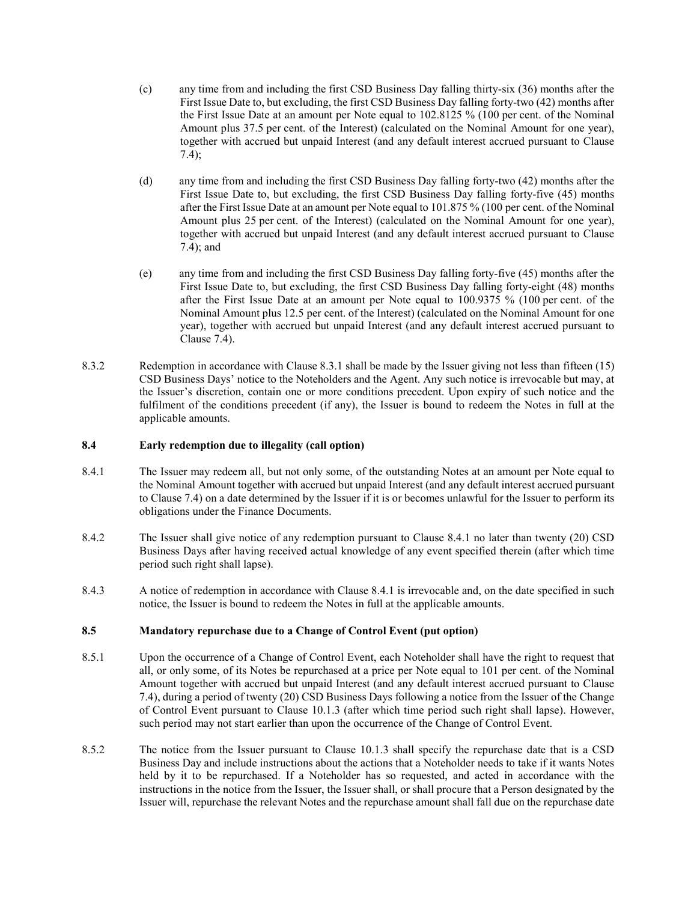- (c) any time from and including the first CSD Business Day falling thirty-six (36) months after the First Issue Date to, but excluding, the first CSD Business Day falling forty-two (42) months after the First Issue Date at an amount per Note equal to 102.8125 % (100 per cent. of the Nominal Amount plus 37.5 per cent. of the Interest) (calculated on the Nominal Amount for one year), together with accrued but unpaid Interest (and any default interest accrued pursuant to Clause 7.4);
- (d) any time from and including the first CSD Business Day falling forty-two (42) months after the First Issue Date to, but excluding, the first CSD Business Day falling forty-five (45) months after the First Issue Date at an amount per Note equal to 101.875 % (100 per cent. of the Nominal Amount plus 25 per cent. of the Interest) (calculated on the Nominal Amount for one year), together with accrued but unpaid Interest (and any default interest accrued pursuant to Clause 7.4); and
- (e) any time from and including the first CSD Business Day falling forty-five (45) months after the First Issue Date to, but excluding, the first CSD Business Day falling forty-eight (48) months after the First Issue Date at an amount per Note equal to 100.9375 % (100 per cent. of the Nominal Amount plus 12.5 per cent. of the Interest) (calculated on the Nominal Amount for one year), together with accrued but unpaid Interest (and any default interest accrued pursuant to Clause 7.4).
- 8.3.2 Redemption in accordance with Clause 8.3.1 shall be made by the Issuer giving not less than fifteen (15) CSD Business Days' notice to the Noteholders and the Agent. Any such notice is irrevocable but may, at the Issuer's discretion, contain one or more conditions precedent. Upon expiry of such notice and the fulfilment of the conditions precedent (if any), the Issuer is bound to redeem the Notes in full at the applicable amounts.

## **8.4 Early redemption due to illegality (call option)**

- 8.4.1 The Issuer may redeem all, but not only some, of the outstanding Notes at an amount per Note equal to the Nominal Amount together with accrued but unpaid Interest (and any default interest accrued pursuant to Clause 7.4) on a date determined by the Issuer if it is or becomes unlawful for the Issuer to perform its obligations under the Finance Documents.
- 8.4.2 The Issuer shall give notice of any redemption pursuant to Clause 8.4.1 no later than twenty (20) CSD Business Days after having received actual knowledge of any event specified therein (after which time period such right shall lapse).
- 8.4.3 A notice of redemption in accordance with Clause 8.4.1 is irrevocable and, on the date specified in such notice, the Issuer is bound to redeem the Notes in full at the applicable amounts.

## **8.5 Mandatory repurchase due to a Change of Control Event (put option)**

- 8.5.1 Upon the occurrence of a Change of Control Event, each Noteholder shall have the right to request that all, or only some, of its Notes be repurchased at a price per Note equal to 101 per cent. of the Nominal Amount together with accrued but unpaid Interest (and any default interest accrued pursuant to Clause 7.4), during a period of twenty (20) CSD Business Days following a notice from the Issuer of the Change of Control Event pursuant to Clause 10.1.3 (after which time period such right shall lapse). However, such period may not start earlier than upon the occurrence of the Change of Control Event.
- 8.5.2 The notice from the Issuer pursuant to Clause 10.1.3 shall specify the repurchase date that is a CSD Business Day and include instructions about the actions that a Noteholder needs to take if it wants Notes held by it to be repurchased. If a Noteholder has so requested, and acted in accordance with the instructions in the notice from the Issuer, the Issuer shall, or shall procure that a Person designated by the Issuer will, repurchase the relevant Notes and the repurchase amount shall fall due on the repurchase date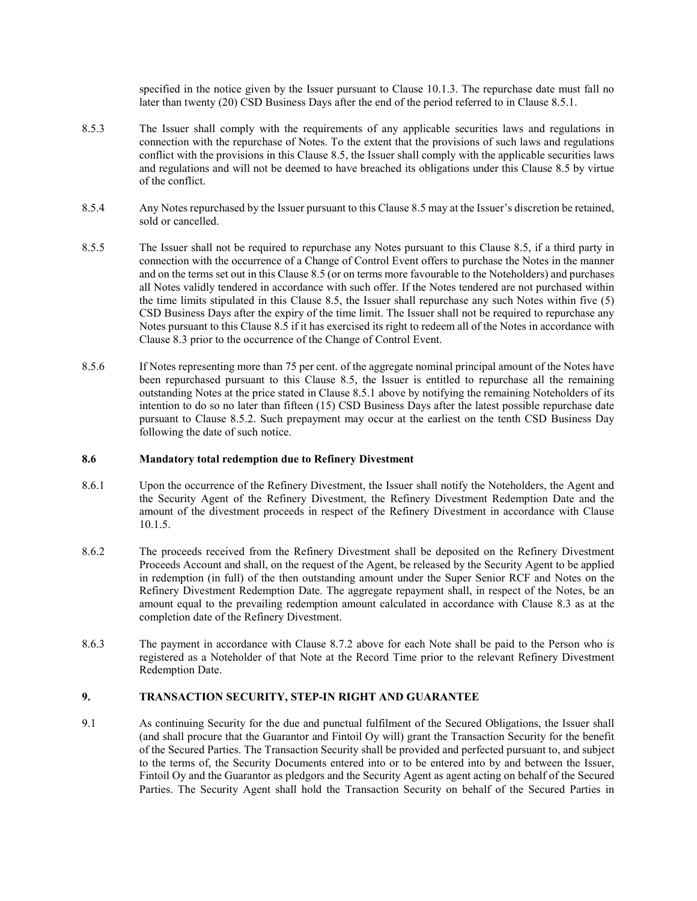specified in the notice given by the Issuer pursuant to Clause 10.1.3. The repurchase date must fall no later than twenty (20) CSD Business Days after the end of the period referred to in Clause 8.5.1.

- 8.5.3 The Issuer shall comply with the requirements of any applicable securities laws and regulations in connection with the repurchase of Notes. To the extent that the provisions of such laws and regulations conflict with the provisions in this Clause 8.5, the Issuer shall comply with the applicable securities laws and regulations and will not be deemed to have breached its obligations under this Clause 8.5 by virtue of the conflict.
- 8.5.4 Any Notes repurchased by the Issuer pursuant to this Clause 8.5 may at the Issuer's discretion be retained, sold or cancelled.
- 8.5.5 The Issuer shall not be required to repurchase any Notes pursuant to this Clause 8.5, if a third party in connection with the occurrence of a Change of Control Event offers to purchase the Notes in the manner and on the terms set out in this Clause 8.5 (or on terms more favourable to the Noteholders) and purchases all Notes validly tendered in accordance with such offer. If the Notes tendered are not purchased within the time limits stipulated in this Clause 8.5, the Issuer shall repurchase any such Notes within five (5) CSD Business Days after the expiry of the time limit. The Issuer shall not be required to repurchase any Notes pursuant to this Clause 8.5 if it has exercised its right to redeem all of the Notes in accordance with Clause 8.3 prior to the occurrence of the Change of Control Event.
- 8.5.6 If Notes representing more than 75 per cent. of the aggregate nominal principal amount of the Notes have been repurchased pursuant to this Clause 8.5, the Issuer is entitled to repurchase all the remaining outstanding Notes at the price stated in Clause 8.5.1 above by notifying the remaining Noteholders of its intention to do so no later than fifteen (15) CSD Business Days after the latest possible repurchase date pursuant to Clause 8.5.2. Such prepayment may occur at the earliest on the tenth CSD Business Day following the date of such notice.

#### **8.6 Mandatory total redemption due to Refinery Divestment**

- 8.6.1 Upon the occurrence of the Refinery Divestment, the Issuer shall notify the Noteholders, the Agent and the Security Agent of the Refinery Divestment, the Refinery Divestment Redemption Date and the amount of the divestment proceeds in respect of the Refinery Divestment in accordance with Clause 10.1.5.
- 8.6.2 The proceeds received from the Refinery Divestment shall be deposited on the Refinery Divestment Proceeds Account and shall, on the request of the Agent, be released by the Security Agent to be applied in redemption (in full) of the then outstanding amount under the Super Senior RCF and Notes on the Refinery Divestment Redemption Date. The aggregate repayment shall, in respect of the Notes, be an amount equal to the prevailing redemption amount calculated in accordance with Clause 8.3 as at the completion date of the Refinery Divestment.
- 8.6.3 The payment in accordance with Clause 8.7.2 above for each Note shall be paid to the Person who is registered as a Noteholder of that Note at the Record Time prior to the relevant Refinery Divestment Redemption Date.

## **9. TRANSACTION SECURITY, STEP-IN RIGHT AND GUARANTEE**

9.1 As continuing Security for the due and punctual fulfilment of the Secured Obligations, the Issuer shall (and shall procure that the Guarantor and Fintoil Oy will) grant the Transaction Security for the benefit of the Secured Parties. The Transaction Security shall be provided and perfected pursuant to, and subject to the terms of, the Security Documents entered into or to be entered into by and between the Issuer, Fintoil Oy and the Guarantor as pledgors and the Security Agent as agent acting on behalf of the Secured Parties. The Security Agent shall hold the Transaction Security on behalf of the Secured Parties in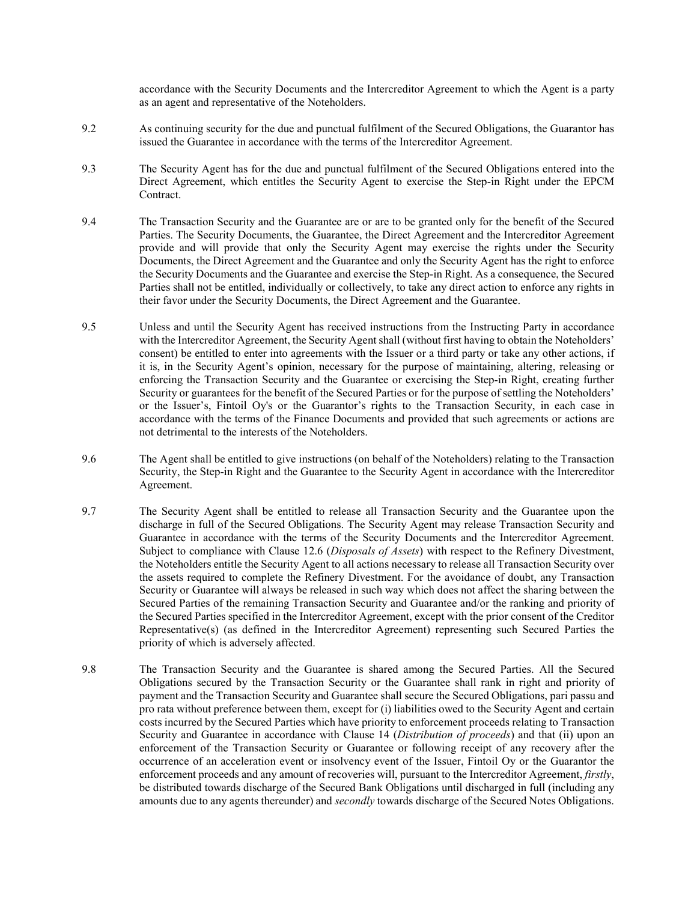accordance with the Security Documents and the Intercreditor Agreement to which the Agent is a party as an agent and representative of the Noteholders.

- 9.2 As continuing security for the due and punctual fulfilment of the Secured Obligations, the Guarantor has issued the Guarantee in accordance with the terms of the Intercreditor Agreement.
- 9.3 The Security Agent has for the due and punctual fulfilment of the Secured Obligations entered into the Direct Agreement, which entitles the Security Agent to exercise the Step-in Right under the EPCM Contract.
- 9.4 The Transaction Security and the Guarantee are or are to be granted only for the benefit of the Secured Parties. The Security Documents, the Guarantee, the Direct Agreement and the Intercreditor Agreement provide and will provide that only the Security Agent may exercise the rights under the Security Documents, the Direct Agreement and the Guarantee and only the Security Agent has the right to enforce the Security Documents and the Guarantee and exercise the Step-in Right. As a consequence, the Secured Parties shall not be entitled, individually or collectively, to take any direct action to enforce any rights in their favor under the Security Documents, the Direct Agreement and the Guarantee.
- 9.5 Unless and until the Security Agent has received instructions from the Instructing Party in accordance with the Intercreditor Agreement, the Security Agent shall (without first having to obtain the Noteholders' consent) be entitled to enter into agreements with the Issuer or a third party or take any other actions, if it is, in the Security Agent's opinion, necessary for the purpose of maintaining, altering, releasing or enforcing the Transaction Security and the Guarantee or exercising the Step-in Right, creating further Security or guarantees for the benefit of the Secured Parties or for the purpose of settling the Noteholders' or the Issuer's, Fintoil Oy's or the Guarantor's rights to the Transaction Security, in each case in accordance with the terms of the Finance Documents and provided that such agreements or actions are not detrimental to the interests of the Noteholders.
- 9.6 The Agent shall be entitled to give instructions (on behalf of the Noteholders) relating to the Transaction Security, the Step-in Right and the Guarantee to the Security Agent in accordance with the Intercreditor Agreement.
- 9.7 The Security Agent shall be entitled to release all Transaction Security and the Guarantee upon the discharge in full of the Secured Obligations. The Security Agent may release Transaction Security and Guarantee in accordance with the terms of the Security Documents and the Intercreditor Agreement. Subject to compliance with Clause 12.6 (*Disposals of Assets*) with respect to the Refinery Divestment, the Noteholders entitle the Security Agent to all actions necessary to release all Transaction Security over the assets required to complete the Refinery Divestment. For the avoidance of doubt, any Transaction Security or Guarantee will always be released in such way which does not affect the sharing between the Secured Parties of the remaining Transaction Security and Guarantee and/or the ranking and priority of the Secured Parties specified in the Intercreditor Agreement, except with the prior consent of the Creditor Representative(s) (as defined in the Intercreditor Agreement) representing such Secured Parties the priority of which is adversely affected.
- 9.8 The Transaction Security and the Guarantee is shared among the Secured Parties. All the Secured Obligations secured by the Transaction Security or the Guarantee shall rank in right and priority of payment and the Transaction Security and Guarantee shall secure the Secured Obligations, pari passu and pro rata without preference between them, except for (i) liabilities owed to the Security Agent and certain costs incurred by the Secured Parties which have priority to enforcement proceeds relating to Transaction Security and Guarantee in accordance with Clause 14 (*Distribution of proceeds*) and that (ii) upon an enforcement of the Transaction Security or Guarantee or following receipt of any recovery after the occurrence of an acceleration event or insolvency event of the Issuer, Fintoil Oy or the Guarantor the enforcement proceeds and any amount of recoveries will, pursuant to the Intercreditor Agreement, *firstly*, be distributed towards discharge of the Secured Bank Obligations until discharged in full (including any amounts due to any agents thereunder) and *secondly* towards discharge of the Secured Notes Obligations.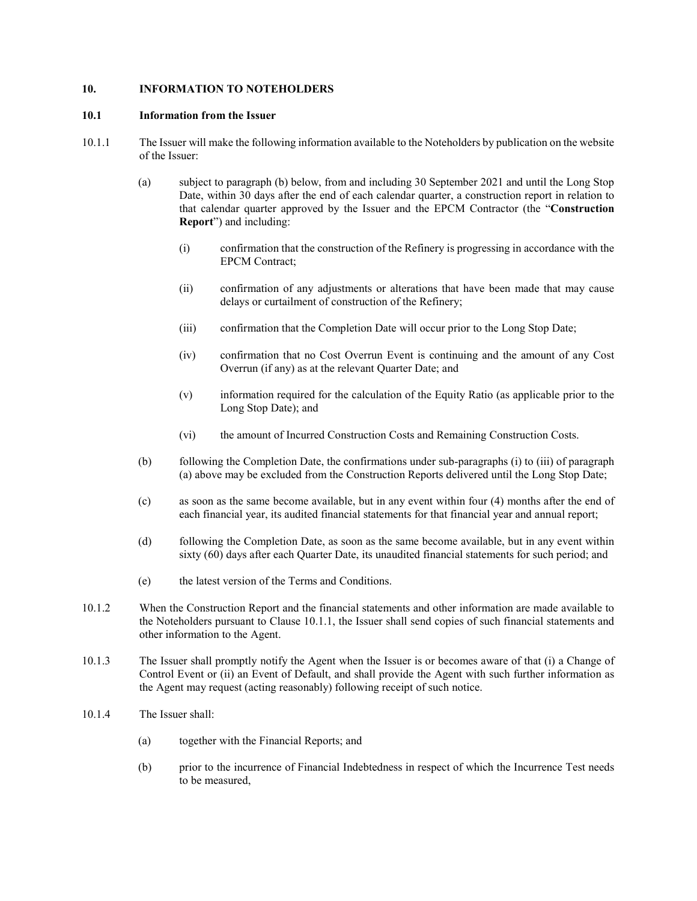## **10. INFORMATION TO NOTEHOLDERS**

## **10.1 Information from the Issuer**

- 10.1.1 The Issuer will make the following information available to the Noteholders by publication on the website of the Issuer:
	- (a) subject to paragraph (b) below, from and including 30 September 2021 and until the Long Stop Date, within 30 days after the end of each calendar quarter, a construction report in relation to that calendar quarter approved by the Issuer and the EPCM Contractor (the "**Construction Report**") and including:
		- (i) confirmation that the construction of the Refinery is progressing in accordance with the EPCM Contract;
		- (ii) confirmation of any adjustments or alterations that have been made that may cause delays or curtailment of construction of the Refinery;
		- (iii) confirmation that the Completion Date will occur prior to the Long Stop Date;
		- (iv) confirmation that no Cost Overrun Event is continuing and the amount of any Cost Overrun (if any) as at the relevant Quarter Date; and
		- (v) information required for the calculation of the Equity Ratio (as applicable prior to the Long Stop Date); and
		- (vi) the amount of Incurred Construction Costs and Remaining Construction Costs.
	- (b) following the Completion Date, the confirmations under sub-paragraphs (i) to (iii) of paragraph (a) above may be excluded from the Construction Reports delivered until the Long Stop Date;
	- (c) as soon as the same become available, but in any event within four (4) months after the end of each financial year, its audited financial statements for that financial year and annual report;
	- (d) following the Completion Date, as soon as the same become available, but in any event within sixty (60) days after each Quarter Date, its unaudited financial statements for such period; and
	- (e) the latest version of the Terms and Conditions.
- 10.1.2 When the Construction Report and the financial statements and other information are made available to the Noteholders pursuant to Clause 10.1.1, the Issuer shall send copies of such financial statements and other information to the Agent.
- 10.1.3 The Issuer shall promptly notify the Agent when the Issuer is or becomes aware of that (i) a Change of Control Event or (ii) an Event of Default, and shall provide the Agent with such further information as the Agent may request (acting reasonably) following receipt of such notice.
- 10.1.4 The Issuer shall:
	- (a) together with the Financial Reports; and
	- (b) prior to the incurrence of Financial Indebtedness in respect of which the Incurrence Test needs to be measured,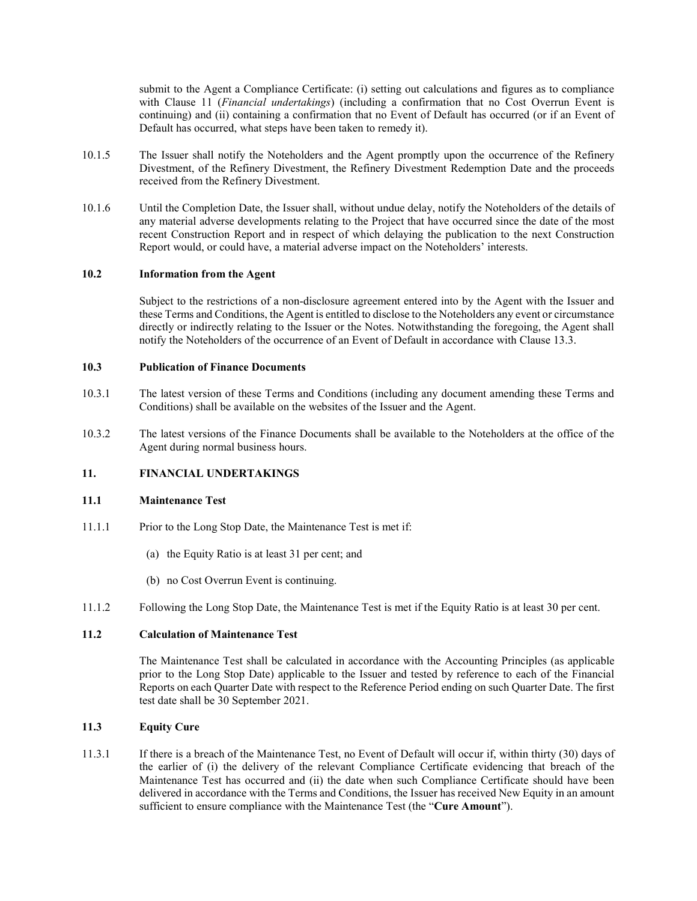submit to the Agent a Compliance Certificate: (i) setting out calculations and figures as to compliance with Clause 11 (*Financial undertakings*) (including a confirmation that no Cost Overrun Event is continuing) and (ii) containing a confirmation that no Event of Default has occurred (or if an Event of Default has occurred, what steps have been taken to remedy it).

- 10.1.5 The Issuer shall notify the Noteholders and the Agent promptly upon the occurrence of the Refinery Divestment, of the Refinery Divestment, the Refinery Divestment Redemption Date and the proceeds received from the Refinery Divestment.
- 10.1.6 Until the Completion Date, the Issuer shall, without undue delay, notify the Noteholders of the details of any material adverse developments relating to the Project that have occurred since the date of the most recent Construction Report and in respect of which delaying the publication to the next Construction Report would, or could have, a material adverse impact on the Noteholders' interests.

## **10.2 Information from the Agent**

Subject to the restrictions of a non-disclosure agreement entered into by the Agent with the Issuer and these Terms and Conditions, the Agent is entitled to disclose to the Noteholders any event or circumstance directly or indirectly relating to the Issuer or the Notes. Notwithstanding the foregoing, the Agent shall notify the Noteholders of the occurrence of an Event of Default in accordance with Clause 13.3.

### **10.3 Publication of Finance Documents**

- 10.3.1 The latest version of these Terms and Conditions (including any document amending these Terms and Conditions) shall be available on the websites of the Issuer and the Agent.
- 10.3.2 The latest versions of the Finance Documents shall be available to the Noteholders at the office of the Agent during normal business hours.

# **11. FINANCIAL UNDERTAKINGS**

## **11.1 Maintenance Test**

- 11.1.1 Prior to the Long Stop Date, the Maintenance Test is met if:
	- (a) the Equity Ratio is at least 31 per cent; and
	- (b) no Cost Overrun Event is continuing.
- 11.1.2 Following the Long Stop Date, the Maintenance Test is met if the Equity Ratio is at least 30 per cent.

## **11.2 Calculation of Maintenance Test**

The Maintenance Test shall be calculated in accordance with the Accounting Principles (as applicable prior to the Long Stop Date) applicable to the Issuer and tested by reference to each of the Financial Reports on each Quarter Date with respect to the Reference Period ending on such Quarter Date. The first test date shall be 30 September 2021.

## **11.3 Equity Cure**

11.3.1 If there is a breach of the Maintenance Test, no Event of Default will occur if, within thirty (30) days of the earlier of (i) the delivery of the relevant Compliance Certificate evidencing that breach of the Maintenance Test has occurred and (ii) the date when such Compliance Certificate should have been delivered in accordance with the Terms and Conditions, the Issuer has received New Equity in an amount sufficient to ensure compliance with the Maintenance Test (the "**Cure Amount**").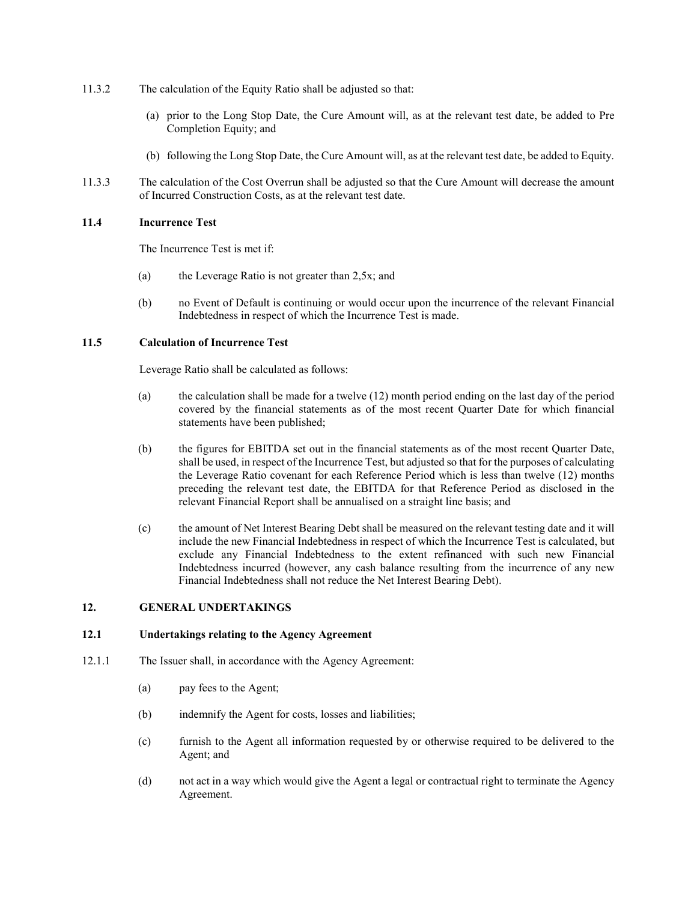- 11.3.2 The calculation of the Equity Ratio shall be adjusted so that:
	- (a) prior to the Long Stop Date, the Cure Amount will, as at the relevant test date, be added to Pre Completion Equity; and
	- (b) following the Long Stop Date, the Cure Amount will, as at the relevant test date, be added to Equity.
- 11.3.3 The calculation of the Cost Overrun shall be adjusted so that the Cure Amount will decrease the amount of Incurred Construction Costs, as at the relevant test date.

#### **11.4 Incurrence Test**

The Incurrence Test is met if:

- (a) the Leverage Ratio is not greater than 2,5x; and
- (b) no Event of Default is continuing or would occur upon the incurrence of the relevant Financial Indebtedness in respect of which the Incurrence Test is made.

## **11.5 Calculation of Incurrence Test**

Leverage Ratio shall be calculated as follows:

- (a) the calculation shall be made for a twelve (12) month period ending on the last day of the period covered by the financial statements as of the most recent Quarter Date for which financial statements have been published;
- (b) the figures for EBITDA set out in the financial statements as of the most recent Quarter Date, shall be used, in respect of the Incurrence Test, but adjusted so that for the purposes of calculating the Leverage Ratio covenant for each Reference Period which is less than twelve (12) months preceding the relevant test date, the EBITDA for that Reference Period as disclosed in the relevant Financial Report shall be annualised on a straight line basis; and
- (c) the amount of Net Interest Bearing Debt shall be measured on the relevant testing date and it will include the new Financial Indebtedness in respect of which the Incurrence Test is calculated, but exclude any Financial Indebtedness to the extent refinanced with such new Financial Indebtedness incurred (however, any cash balance resulting from the incurrence of any new Financial Indebtedness shall not reduce the Net Interest Bearing Debt).

## **12. GENERAL UNDERTAKINGS**

#### **12.1 Undertakings relating to the Agency Agreement**

- 12.1.1 The Issuer shall, in accordance with the Agency Agreement:
	- (a) pay fees to the Agent;
	- (b) indemnify the Agent for costs, losses and liabilities;
	- (c) furnish to the Agent all information requested by or otherwise required to be delivered to the Agent; and
	- (d) not act in a way which would give the Agent a legal or contractual right to terminate the Agency Agreement.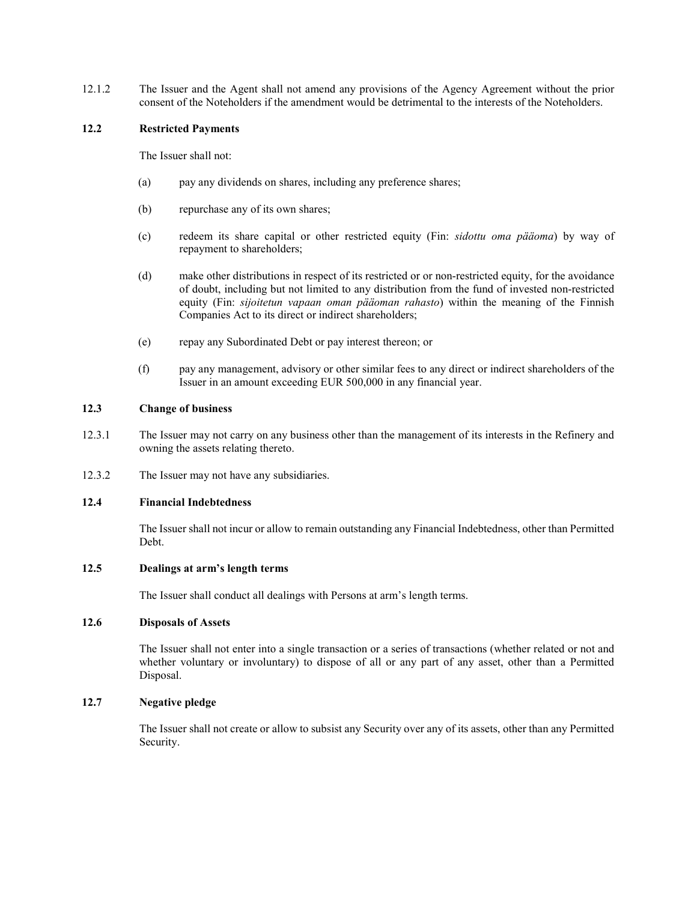12.1.2 The Issuer and the Agent shall not amend any provisions of the Agency Agreement without the prior consent of the Noteholders if the amendment would be detrimental to the interests of the Noteholders.

### **12.2 Restricted Payments**

The Issuer shall not:

- (a) pay any dividends on shares, including any preference shares;
- (b) repurchase any of its own shares;
- (c) redeem its share capital or other restricted equity (Fin: *sidottu oma pääoma*) by way of repayment to shareholders;
- (d) make other distributions in respect of its restricted or or non-restricted equity, for the avoidance of doubt, including but not limited to any distribution from the fund of invested non-restricted equity (Fin: *sijoitetun vapaan oman pääoman rahasto*) within the meaning of the Finnish Companies Act to its direct or indirect shareholders;
- (e) repay any Subordinated Debt or pay interest thereon; or
- (f) pay any management, advisory or other similar fees to any direct or indirect shareholders of the Issuer in an amount exceeding EUR 500,000 in any financial year.

## **12.3 Change of business**

- 12.3.1 The Issuer may not carry on any business other than the management of its interests in the Refinery and owning the assets relating thereto.
- 12.3.2 The Issuer may not have any subsidiaries.

#### **12.4 Financial Indebtedness**

The Issuer shall not incur or allow to remain outstanding any Financial Indebtedness, other than Permitted Debt.

## **12.5 Dealings at arm's length terms**

The Issuer shall conduct all dealings with Persons at arm's length terms.

## **12.6 Disposals of Assets**

The Issuer shall not enter into a single transaction or a series of transactions (whether related or not and whether voluntary or involuntary) to dispose of all or any part of any asset, other than a Permitted Disposal.

# **12.7 Negative pledge**

The Issuer shall not create or allow to subsist any Security over any of its assets, other than any Permitted Security.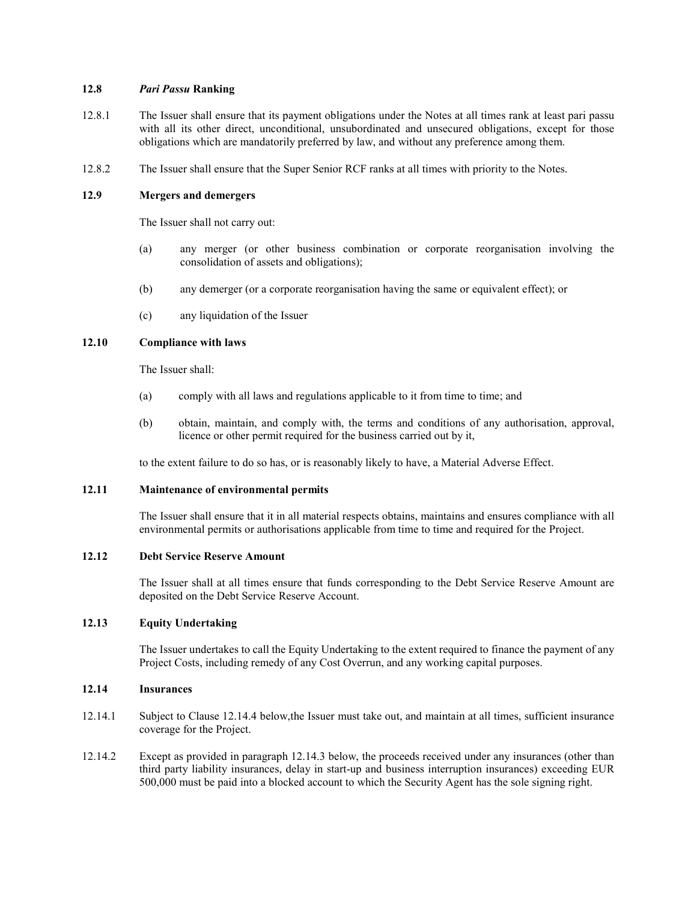## **12.8** *Pari Passu* **Ranking**

- 12.8.1 The Issuer shall ensure that its payment obligations under the Notes at all times rank at least pari passu with all its other direct, unconditional, unsubordinated and unsecured obligations, except for those obligations which are mandatorily preferred by law, and without any preference among them.
- 12.8.2 The Issuer shall ensure that the Super Senior RCF ranks at all times with priority to the Notes.

### **12.9 Mergers and demergers**

The Issuer shall not carry out:

- (a) any merger (or other business combination or corporate reorganisation involving the consolidation of assets and obligations);
- (b) any demerger (or a corporate reorganisation having the same or equivalent effect); or
- (c) any liquidation of the Issuer

### **12.10 Compliance with laws**

The Issuer shall:

- (a) comply with all laws and regulations applicable to it from time to time; and
- (b) obtain, maintain, and comply with, the terms and conditions of any authorisation, approval, licence or other permit required for the business carried out by it,

to the extent failure to do so has, or is reasonably likely to have, a Material Adverse Effect.

## **12.11 Maintenance of environmental permits**

The Issuer shall ensure that it in all material respects obtains, maintains and ensures compliance with all environmental permits or authorisations applicable from time to time and required for the Project.

#### **12.12 Debt Service Reserve Amount**

The Issuer shall at all times ensure that funds corresponding to the Debt Service Reserve Amount are deposited on the Debt Service Reserve Account.

## **12.13 Equity Undertaking**

The Issuer undertakes to call the Equity Undertaking to the extent required to finance the payment of any Project Costs, including remedy of any Cost Overrun, and any working capital purposes.

### **12.14 Insurances**

- 12.14.1 Subject to Clause 12.14.4 below,the Issuer must take out, and maintain at all times, sufficient insurance coverage for the Project.
- 12.14.2 Except as provided in paragraph 12.14.3 below, the proceeds received under any insurances (other than third party liability insurances, delay in start-up and business interruption insurances) exceeding EUR 500,000 must be paid into a blocked account to which the Security Agent has the sole signing right.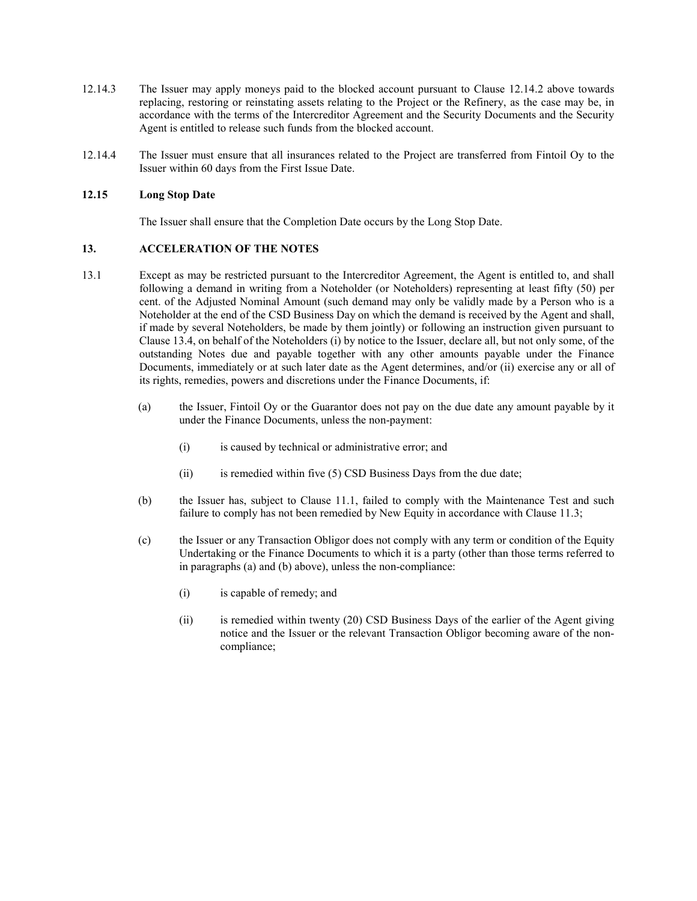- 12.14.3 The Issuer may apply moneys paid to the blocked account pursuant to Clause 12.14.2 above towards replacing, restoring or reinstating assets relating to the Project or the Refinery, as the case may be, in accordance with the terms of the Intercreditor Agreement and the Security Documents and the Security Agent is entitled to release such funds from the blocked account.
- 12.14.4 The Issuer must ensure that all insurances related to the Project are transferred from Fintoil Oy to the Issuer within 60 days from the First Issue Date.

### **12.15 Long Stop Date**

The Issuer shall ensure that the Completion Date occurs by the Long Stop Date.

#### **13. ACCELERATION OF THE NOTES**

- 13.1 Except as may be restricted pursuant to the Intercreditor Agreement, the Agent is entitled to, and shall following a demand in writing from a Noteholder (or Noteholders) representing at least fifty (50) per cent. of the Adjusted Nominal Amount (such demand may only be validly made by a Person who is a Noteholder at the end of the CSD Business Day on which the demand is received by the Agent and shall, if made by several Noteholders, be made by them jointly) or following an instruction given pursuant to Clause 13.4, on behalf of the Noteholders (i) by notice to the Issuer, declare all, but not only some, of the outstanding Notes due and payable together with any other amounts payable under the Finance Documents, immediately or at such later date as the Agent determines, and/or (ii) exercise any or all of its rights, remedies, powers and discretions under the Finance Documents, if:
	- (a) the Issuer, Fintoil Oy or the Guarantor does not pay on the due date any amount payable by it under the Finance Documents, unless the non-payment:
		- (i) is caused by technical or administrative error; and
		- (ii) is remedied within five (5) CSD Business Days from the due date;
	- (b) the Issuer has, subject to Clause 11.1, failed to comply with the Maintenance Test and such failure to comply has not been remedied by New Equity in accordance with Clause 11.3;
	- (c) the Issuer or any Transaction Obligor does not comply with any term or condition of the Equity Undertaking or the Finance Documents to which it is a party (other than those terms referred to in paragraphs (a) and (b) above), unless the non-compliance:
		- (i) is capable of remedy; and
		- (ii) is remedied within twenty (20) CSD Business Days of the earlier of the Agent giving notice and the Issuer or the relevant Transaction Obligor becoming aware of the noncompliance;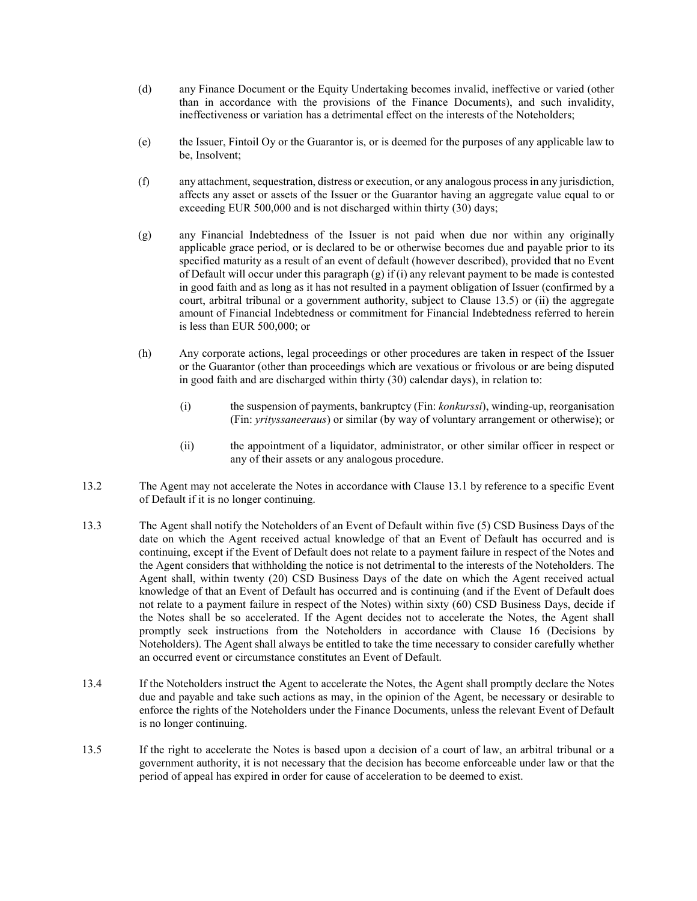- (d) any Finance Document or the Equity Undertaking becomes invalid, ineffective or varied (other than in accordance with the provisions of the Finance Documents), and such invalidity, ineffectiveness or variation has a detrimental effect on the interests of the Noteholders;
- (e) the Issuer, Fintoil Oy or the Guarantor is, or is deemed for the purposes of any applicable law to be, Insolvent;
- (f) any attachment, sequestration, distress or execution, or any analogous process in any jurisdiction, affects any asset or assets of the Issuer or the Guarantor having an aggregate value equal to or exceeding EUR 500,000 and is not discharged within thirty (30) days;
- <span id="page-26-0"></span>(g) any Financial Indebtedness of the Issuer is not paid when due nor within any originally applicable grace period, or is declared to be or otherwise becomes due and payable prior to its specified maturity as a result of an event of default (however described), provided that no Event of Default will occur under this paragrap[h \(g\)](#page-26-0) if (i) any relevant payment to be made is contested in good faith and as long as it has not resulted in a payment obligation of Issuer (confirmed by a court, arbitral tribunal or a government authority, subject to Clause 13.5) or (ii) the aggregate amount of Financial Indebtedness or commitment for Financial Indebtedness referred to herein is less than EUR 500,000; or
- (h) Any corporate actions, legal proceedings or other procedures are taken in respect of the Issuer or the Guarantor (other than proceedings which are vexatious or frivolous or are being disputed in good faith and are discharged within thirty (30) calendar days), in relation to:
	- (i) the suspension of payments, bankruptcy (Fin: *konkurssi*), winding-up, reorganisation (Fin: *yrityssaneeraus*) or similar (by way of voluntary arrangement or otherwise); or
	- (ii) the appointment of a liquidator, administrator, or other similar officer in respect or any of their assets or any analogous procedure.
- 13.2 The Agent may not accelerate the Notes in accordance with Clause 13.1 by reference to a specific Event of Default if it is no longer continuing.
- 13.3 The Agent shall notify the Noteholders of an Event of Default within five (5) CSD Business Days of the date on which the Agent received actual knowledge of that an Event of Default has occurred and is continuing, except if the Event of Default does not relate to a payment failure in respect of the Notes and the Agent considers that withholding the notice is not detrimental to the interests of the Noteholders. The Agent shall, within twenty (20) CSD Business Days of the date on which the Agent received actual knowledge of that an Event of Default has occurred and is continuing (and if the Event of Default does not relate to a payment failure in respect of the Notes) within sixty (60) CSD Business Days, decide if the Notes shall be so accelerated. If the Agent decides not to accelerate the Notes, the Agent shall promptly seek instructions from the Noteholders in accordance with Clause 16 (Decisions by Noteholders). The Agent shall always be entitled to take the time necessary to consider carefully whether an occurred event or circumstance constitutes an Event of Default.
- 13.4 If the Noteholders instruct the Agent to accelerate the Notes, the Agent shall promptly declare the Notes due and payable and take such actions as may, in the opinion of the Agent, be necessary or desirable to enforce the rights of the Noteholders under the Finance Documents, unless the relevant Event of Default is no longer continuing.
- 13.5 If the right to accelerate the Notes is based upon a decision of a court of law, an arbitral tribunal or a government authority, it is not necessary that the decision has become enforceable under law or that the period of appeal has expired in order for cause of acceleration to be deemed to exist.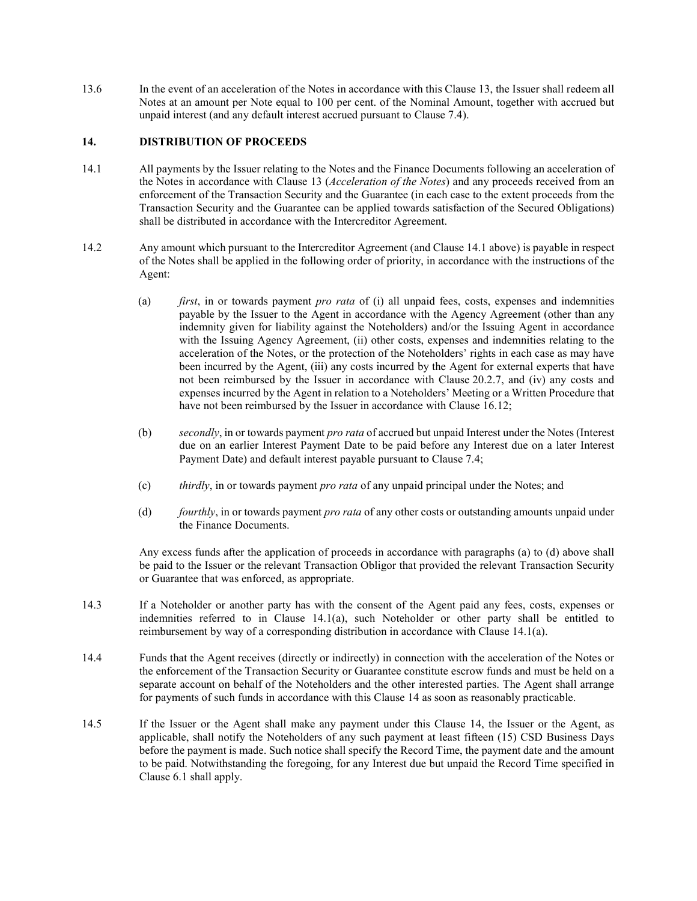13.6 In the event of an acceleration of the Notes in accordance with this Clause 13, the Issuer shall redeem all Notes at an amount per Note equal to 100 per cent. of the Nominal Amount, together with accrued but unpaid interest (and any default interest accrued pursuant to Clause 7.4).

## **14. DISTRIBUTION OF PROCEEDS**

- 14.1 All payments by the Issuer relating to the Notes and the Finance Documents following an acceleration of the Notes in accordance with Clause 13 (*Acceleration of the Notes*) and any proceeds received from an enforcement of the Transaction Security and the Guarantee (in each case to the extent proceeds from the Transaction Security and the Guarantee can be applied towards satisfaction of the Secured Obligations) shall be distributed in accordance with the Intercreditor Agreement.
- 14.2 Any amount which pursuant to the Intercreditor Agreement (and Clause 14.1 above) is payable in respect of the Notes shall be applied in the following order of priority, in accordance with the instructions of the Agent:
	- (a) *first*, in or towards payment *pro rata* of (i) all unpaid fees, costs, expenses and indemnities payable by the Issuer to the Agent in accordance with the Agency Agreement (other than any indemnity given for liability against the Noteholders) and/or the Issuing Agent in accordance with the Issuing Agency Agreement, (ii) other costs, expenses and indemnities relating to the acceleration of the Notes, or the protection of the Noteholders' rights in each case as may have been incurred by the Agent, (iii) any costs incurred by the Agent for external experts that have not been reimbursed by the Issuer in accordance with Clause 20.2.7, and (iv) any costs and expenses incurred by the Agent in relation to a Noteholders' Meeting or a Written Procedure that have not been reimbursed by the Issuer in accordance with Clause 16.12;
	- (b) *secondly*, in or towards payment *pro rata* of accrued but unpaid Interest under the Notes (Interest due on an earlier Interest Payment Date to be paid before any Interest due on a later Interest Payment Date) and default interest payable pursuant to Clause 7.4;
	- (c) *thirdly*, in or towards payment *pro rata* of any unpaid principal under the Notes; and
	- (d) *fourthly*, in or towards payment *pro rata* of any other costs or outstanding amounts unpaid under the Finance Documents.

<span id="page-27-0"></span>Any excess funds after the application of proceeds in accordance with paragraphs (a) to [\(d\)](#page-27-0) above shall be paid to the Issuer or the relevant Transaction Obligor that provided the relevant Transaction Security or Guarantee that was enforced, as appropriate.

- 14.3 If a Noteholder or another party has with the consent of the Agent paid any fees, costs, expenses or indemnities referred to in Clause 14.1(a), such Noteholder or other party shall be entitled to reimbursement by way of a corresponding distribution in accordance with Clause 14.1(a).
- 14.4 Funds that the Agent receives (directly or indirectly) in connection with the acceleration of the Notes or the enforcement of the Transaction Security or Guarantee constitute escrow funds and must be held on a separate account on behalf of the Noteholders and the other interested parties. The Agent shall arrange for payments of such funds in accordance with this Clause 14 as soon as reasonably practicable.
- 14.5 If the Issuer or the Agent shall make any payment under this Clause 14, the Issuer or the Agent, as applicable, shall notify the Noteholders of any such payment at least fifteen (15) CSD Business Days before the payment is made. Such notice shall specify the Record Time, the payment date and the amount to be paid. Notwithstanding the foregoing, for any Interest due but unpaid the Record Time specified in Clause 6.1 shall apply.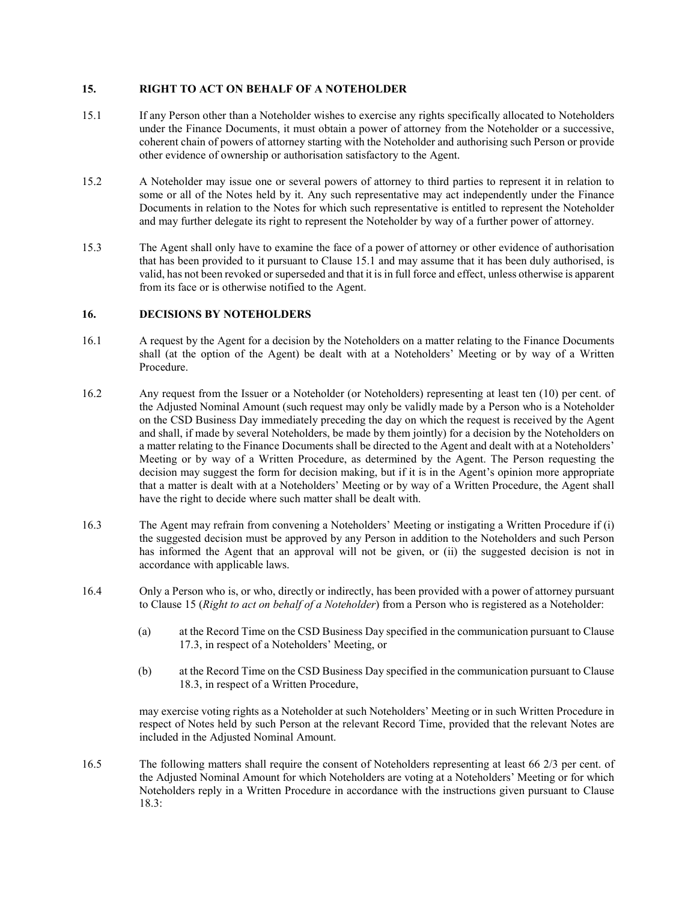### **15. RIGHT TO ACT ON BEHALF OF A NOTEHOLDER**

- 15.1 If any Person other than a Noteholder wishes to exercise any rights specifically allocated to Noteholders under the Finance Documents, it must obtain a power of attorney from the Noteholder or a successive, coherent chain of powers of attorney starting with the Noteholder and authorising such Person or provide other evidence of ownership or authorisation satisfactory to the Agent.
- 15.2 A Noteholder may issue one or several powers of attorney to third parties to represent it in relation to some or all of the Notes held by it. Any such representative may act independently under the Finance Documents in relation to the Notes for which such representative is entitled to represent the Noteholder and may further delegate its right to represent the Noteholder by way of a further power of attorney.
- 15.3 The Agent shall only have to examine the face of a power of attorney or other evidence of authorisation that has been provided to it pursuant to Clause 15.1 and may assume that it has been duly authorised, is valid, has not been revoked or superseded and that it is in full force and effect, unless otherwise is apparent from its face or is otherwise notified to the Agent.

# **16. DECISIONS BY NOTEHOLDERS**

- 16.1 A request by the Agent for a decision by the Noteholders on a matter relating to the Finance Documents shall (at the option of the Agent) be dealt with at a Noteholders' Meeting or by way of a Written Procedure.
- 16.2 Any request from the Issuer or a Noteholder (or Noteholders) representing at least ten (10) per cent. of the Adjusted Nominal Amount (such request may only be validly made by a Person who is a Noteholder on the CSD Business Day immediately preceding the day on which the request is received by the Agent and shall, if made by several Noteholders, be made by them jointly) for a decision by the Noteholders on a matter relating to the Finance Documents shall be directed to the Agent and dealt with at a Noteholders' Meeting or by way of a Written Procedure, as determined by the Agent. The Person requesting the decision may suggest the form for decision making, but if it is in the Agent's opinion more appropriate that a matter is dealt with at a Noteholders' Meeting or by way of a Written Procedure, the Agent shall have the right to decide where such matter shall be dealt with.
- 16.3 The Agent may refrain from convening a Noteholders' Meeting or instigating a Written Procedure if (i) the suggested decision must be approved by any Person in addition to the Noteholders and such Person has informed the Agent that an approval will not be given, or (ii) the suggested decision is not in accordance with applicable laws.
- 16.4 Only a Person who is, or who, directly or indirectly, has been provided with a power of attorney pursuant to Clause 15 (*Right to act on behalf of a Noteholder*) from a Person who is registered as a Noteholder:
	- (a) at the Record Time on the CSD Business Day specified in the communication pursuant to Clause 17.3, in respect of a Noteholders' Meeting, or
	- (b) at the Record Time on the CSD Business Day specified in the communication pursuant to Clause 18.3, in respect of a Written Procedure,

may exercise voting rights as a Noteholder at such Noteholders' Meeting or in such Written Procedure in respect of Notes held by such Person at the relevant Record Time, provided that the relevant Notes are included in the Adjusted Nominal Amount.

16.5 The following matters shall require the consent of Noteholders representing at least 66 2/3 per cent. of the Adjusted Nominal Amount for which Noteholders are voting at a Noteholders' Meeting or for which Noteholders reply in a Written Procedure in accordance with the instructions given pursuant to Clause 18.3: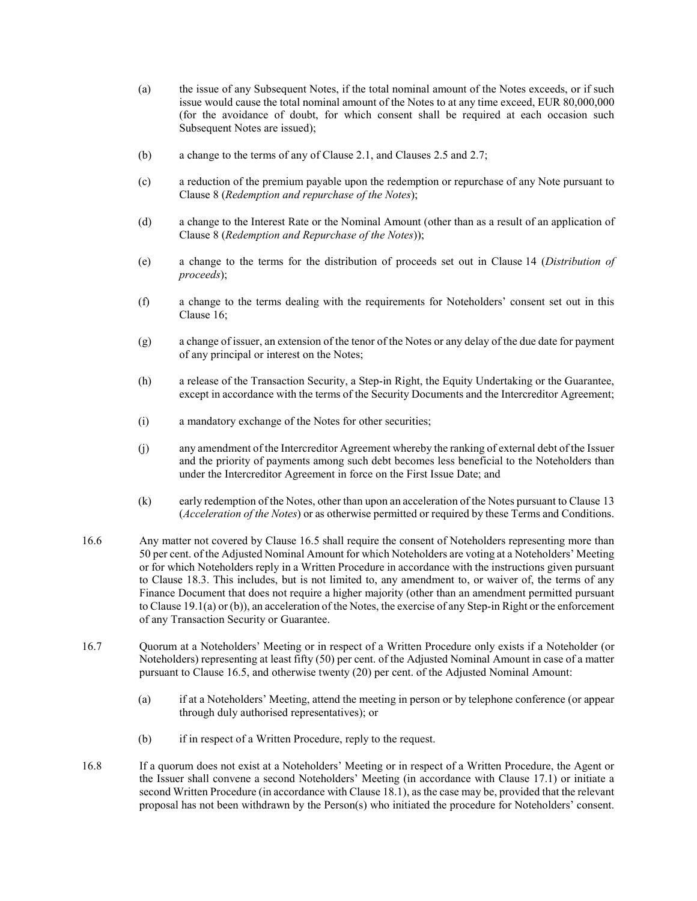- (a) the issue of any Subsequent Notes, if the total nominal amount of the Notes exceeds, or if such issue would cause the total nominal amount of the Notes to at any time exceed, EUR 80,000,000 (for the avoidance of doubt, for which consent shall be required at each occasion such Subsequent Notes are issued);
- (b) a change to the terms of any of Clause 2.1, and Clauses 2.5 and 2.7;
- (c) a reduction of the premium payable upon the redemption or repurchase of any Note pursuant to Clause 8 (*Redemption and repurchase of the Notes*);
- (d) a change to the Interest Rate or the Nominal Amount (other than as a result of an application of Clause 8 (*Redemption and Repurchase of the Notes*));
- (e) a change to the terms for the distribution of proceeds set out in Clause 14 (*Distribution of proceeds*);
- (f) a change to the terms dealing with the requirements for Noteholders' consent set out in this Clause 16;
- (g) a change of issuer, an extension of the tenor of the Notes or any delay of the due date for payment of any principal or interest on the Notes;
- (h) a release of the Transaction Security, a Step-in Right, the Equity Undertaking or the Guarantee, except in accordance with the terms of the Security Documents and the Intercreditor Agreement;
- (i) a mandatory exchange of the Notes for other securities;
- (j) any amendment of the Intercreditor Agreement whereby the ranking of external debt of the Issuer and the priority of payments among such debt becomes less beneficial to the Noteholders than under the Intercreditor Agreement in force on the First Issue Date; and
- (k) early redemption of the Notes, other than upon an acceleration of the Notes pursuant to Clause 13 (*Acceleration of the Notes*) or as otherwise permitted or required by these Terms and Conditions.
- 16.6 Any matter not covered by Clause 16.5 shall require the consent of Noteholders representing more than 50 per cent. of the Adjusted Nominal Amount for which Noteholders are voting at a Noteholders' Meeting or for which Noteholders reply in a Written Procedure in accordance with the instructions given pursuant to Clause 18.3. This includes, but is not limited to, any amendment to, or waiver of, the terms of any Finance Document that does not require a higher majority (other than an amendment permitted pursuant to Clause 19.1(a) or (b)), an acceleration of the Notes, the exercise of any Step-in Right or the enforcement of any Transaction Security or Guarantee.
- 16.7 Quorum at a Noteholders' Meeting or in respect of a Written Procedure only exists if a Noteholder (or Noteholders) representing at least fifty (50) per cent. of the Adjusted Nominal Amount in case of a matter pursuant to Clause 16.5, and otherwise twenty (20) per cent. of the Adjusted Nominal Amount:
	- (a) if at a Noteholders' Meeting, attend the meeting in person or by telephone conference (or appear through duly authorised representatives); or
	- (b) if in respect of a Written Procedure, reply to the request.
- 16.8 If a quorum does not exist at a Noteholders' Meeting or in respect of a Written Procedure, the Agent or the Issuer shall convene a second Noteholders' Meeting (in accordance with Clause 17.1) or initiate a second Written Procedure (in accordance with Clause 18.1), as the case may be, provided that the relevant proposal has not been withdrawn by the Person(s) who initiated the procedure for Noteholders' consent.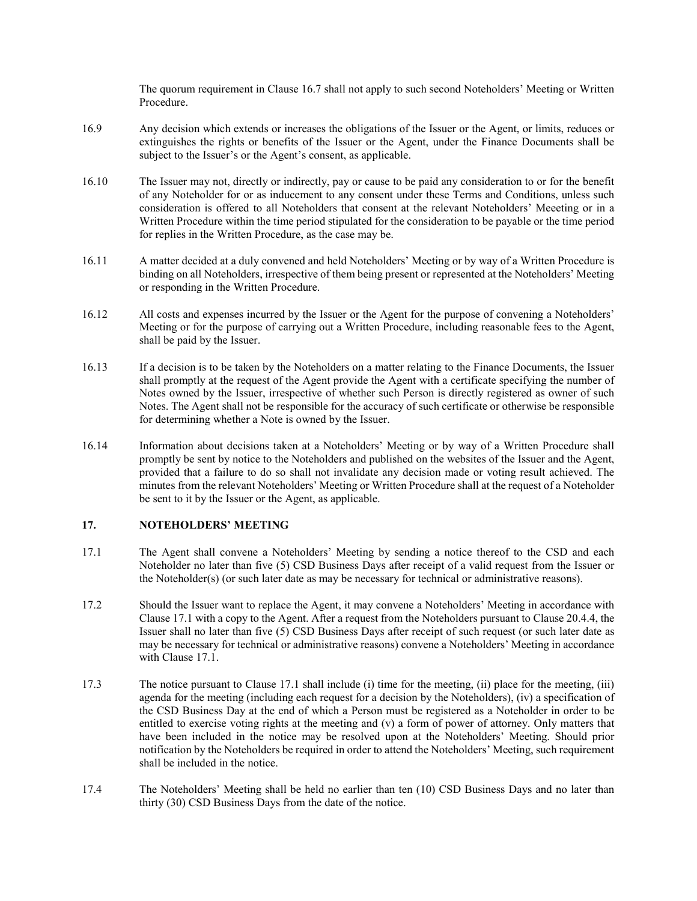The quorum requirement in Clause 16.7 shall not apply to such second Noteholders' Meeting or Written Procedure.

- 16.9 Any decision which extends or increases the obligations of the Issuer or the Agent, or limits, reduces or extinguishes the rights or benefits of the Issuer or the Agent, under the Finance Documents shall be subject to the Issuer's or the Agent's consent, as applicable.
- 16.10 The Issuer may not, directly or indirectly, pay or cause to be paid any consideration to or for the benefit of any Noteholder for or as inducement to any consent under these Terms and Conditions, unless such consideration is offered to all Noteholders that consent at the relevant Noteholders' Meeeting or in a Written Procedure within the time period stipulated for the consideration to be payable or the time period for replies in the Written Procedure, as the case may be.
- 16.11 A matter decided at a duly convened and held Noteholders' Meeting or by way of a Written Procedure is binding on all Noteholders, irrespective of them being present or represented at the Noteholders' Meeting or responding in the Written Procedure.
- 16.12 All costs and expenses incurred by the Issuer or the Agent for the purpose of convening a Noteholders' Meeting or for the purpose of carrying out a Written Procedure, including reasonable fees to the Agent, shall be paid by the Issuer.
- 16.13 If a decision is to be taken by the Noteholders on a matter relating to the Finance Documents, the Issuer shall promptly at the request of the Agent provide the Agent with a certificate specifying the number of Notes owned by the Issuer, irrespective of whether such Person is directly registered as owner of such Notes. The Agent shall not be responsible for the accuracy of such certificate or otherwise be responsible for determining whether a Note is owned by the Issuer.
- 16.14 Information about decisions taken at a Noteholders' Meeting or by way of a Written Procedure shall promptly be sent by notice to the Noteholders and published on the websites of the Issuer and the Agent, provided that a failure to do so shall not invalidate any decision made or voting result achieved. The minutes from the relevant Noteholders' Meeting or Written Procedure shall at the request of a Noteholder be sent to it by the Issuer or the Agent, as applicable.

## **17. NOTEHOLDERS' MEETING**

- 17.1 The Agent shall convene a Noteholders' Meeting by sending a notice thereof to the CSD and each Noteholder no later than five (5) CSD Business Days after receipt of a valid request from the Issuer or the Noteholder(s) (or such later date as may be necessary for technical or administrative reasons).
- 17.2 Should the Issuer want to replace the Agent, it may convene a Noteholders' Meeting in accordance with Clause 17.1 with a copy to the Agent. After a request from the Noteholders pursuant to Clause 20.4.4, the Issuer shall no later than five (5) CSD Business Days after receipt of such request (or such later date as may be necessary for technical or administrative reasons) convene a Noteholders' Meeting in accordance with Clause 17.1.
- 17.3 The notice pursuant to Clause 17.1 shall include (i) time for the meeting, (ii) place for the meeting, (iii) agenda for the meeting (including each request for a decision by the Noteholders), (iv) a specification of the CSD Business Day at the end of which a Person must be registered as a Noteholder in order to be entitled to exercise voting rights at the meeting and (v) a form of power of attorney. Only matters that have been included in the notice may be resolved upon at the Noteholders' Meeting. Should prior notification by the Noteholders be required in order to attend the Noteholders' Meeting, such requirement shall be included in the notice.
- 17.4 The Noteholders' Meeting shall be held no earlier than ten (10) CSD Business Days and no later than thirty (30) CSD Business Days from the date of the notice.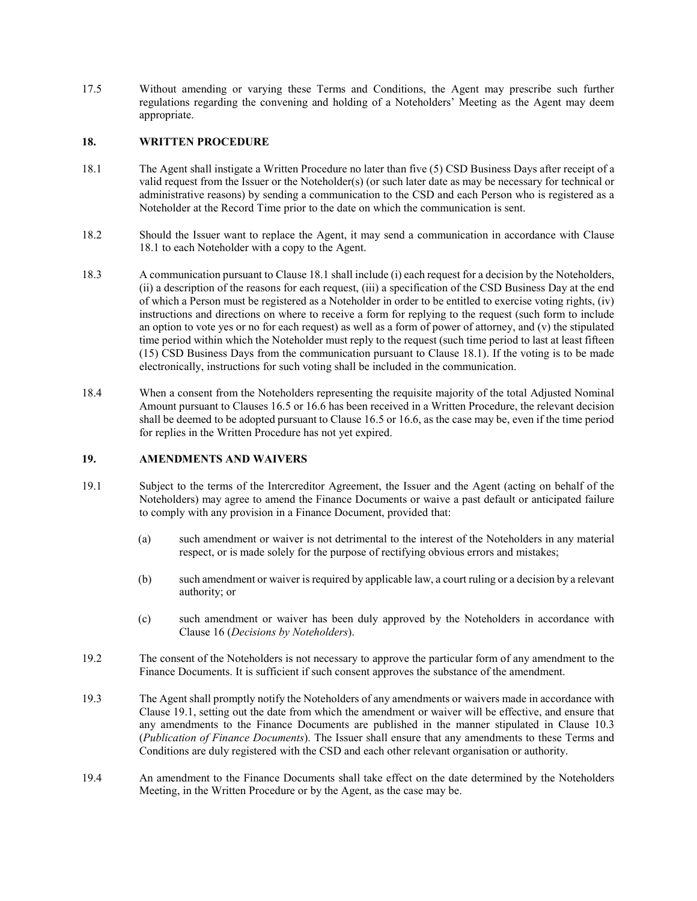17.5 Without amending or varying these Terms and Conditions, the Agent may prescribe such further regulations regarding the convening and holding of a Noteholders' Meeting as the Agent may deem appropriate.

### **18. WRITTEN PROCEDURE**

- 18.1 The Agent shall instigate a Written Procedure no later than five (5) CSD Business Days after receipt of a valid request from the Issuer or the Noteholder(s) (or such later date as may be necessary for technical or administrative reasons) by sending a communication to the CSD and each Person who is registered as a Noteholder at the Record Time prior to the date on which the communication is sent.
- 18.2 Should the Issuer want to replace the Agent, it may send a communication in accordance with Clause 18.1 to each Noteholder with a copy to the Agent.
- 18.3 A communication pursuant to Clause 18.1 shall include (i) each request for a decision by the Noteholders, (ii) a description of the reasons for each request, (iii) a specification of the CSD Business Day at the end of which a Person must be registered as a Noteholder in order to be entitled to exercise voting rights, (iv) instructions and directions on where to receive a form for replying to the request (such form to include an option to vote yes or no for each request) as well as a form of power of attorney, and  $(v)$  the stipulated time period within which the Noteholder must reply to the request (such time period to last at least fifteen (15) CSD Business Days from the communication pursuant to Clause 18.1). If the voting is to be made electronically, instructions for such voting shall be included in the communication.
- 18.4 When a consent from the Noteholders representing the requisite majority of the total Adjusted Nominal Amount pursuant to Clauses 16.5 or 16.6 has been received in a Written Procedure, the relevant decision shall be deemed to be adopted pursuant to Clause 16.5 or 16.6, as the case may be, even if the time period for replies in the Written Procedure has not yet expired.

#### **19. AMENDMENTS AND WAIVERS**

- 19.1 Subject to the terms of the Intercreditor Agreement, the Issuer and the Agent (acting on behalf of the Noteholders) may agree to amend the Finance Documents or waive a past default or anticipated failure to comply with any provision in a Finance Document, provided that:
	- (a) such amendment or waiver is not detrimental to the interest of the Noteholders in any material respect, or is made solely for the purpose of rectifying obvious errors and mistakes;
	- (b) such amendment or waiver is required by applicable law, a court ruling or a decision by a relevant authority; or
	- (c) such amendment or waiver has been duly approved by the Noteholders in accordance with Clause 16 (*Decisions by Noteholders*).
- 19.2 The consent of the Noteholders is not necessary to approve the particular form of any amendment to the Finance Documents. It is sufficient if such consent approves the substance of the amendment.
- 19.3 The Agent shall promptly notify the Noteholders of any amendments or waivers made in accordance with Clause 19.1, setting out the date from which the amendment or waiver will be effective, and ensure that any amendments to the Finance Documents are published in the manner stipulated in Clause 10.3 (*Publication of Finance Documents*). The Issuer shall ensure that any amendments to these Terms and Conditions are duly registered with the CSD and each other relevant organisation or authority.
- 19.4 An amendment to the Finance Documents shall take effect on the date determined by the Noteholders Meeting, in the Written Procedure or by the Agent, as the case may be.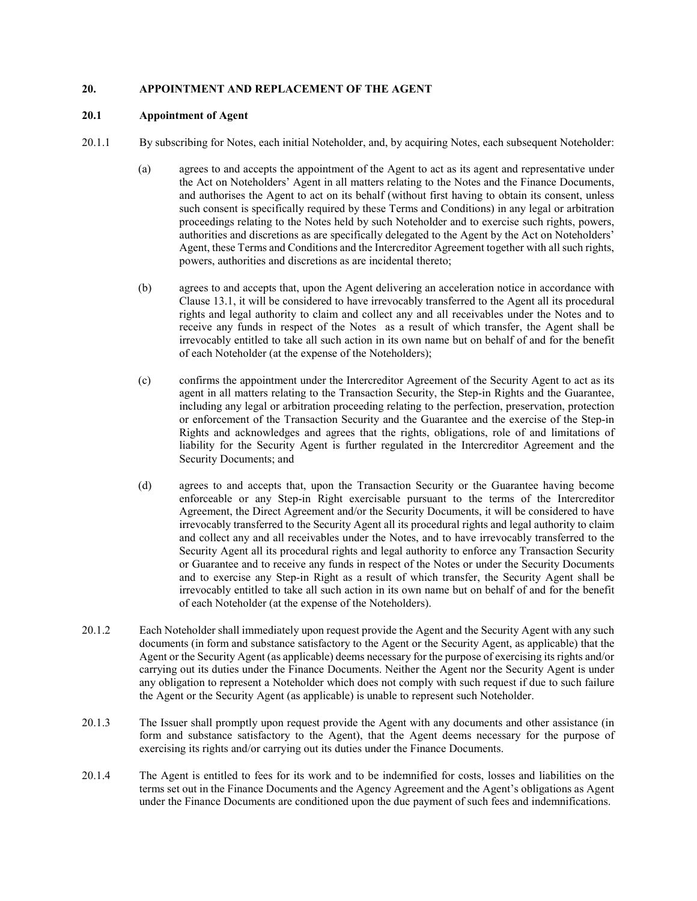## **20. APPOINTMENT AND REPLACEMENT OF THE AGENT**

## **20.1 Appointment of Agent**

- 20.1.1 By subscribing for Notes, each initial Noteholder, and, by acquiring Notes, each subsequent Noteholder:
	- (a) agrees to and accepts the appointment of the Agent to act as its agent and representative under the Act on Noteholders' Agent in all matters relating to the Notes and the Finance Documents, and authorises the Agent to act on its behalf (without first having to obtain its consent, unless such consent is specifically required by these Terms and Conditions) in any legal or arbitration proceedings relating to the Notes held by such Noteholder and to exercise such rights, powers, authorities and discretions as are specifically delegated to the Agent by the Act on Noteholders' Agent, these Terms and Conditions and the Intercreditor Agreement together with all such rights, powers, authorities and discretions as are incidental thereto;
	- (b) agrees to and accepts that, upon the Agent delivering an acceleration notice in accordance with Clause 13.1, it will be considered to have irrevocably transferred to the Agent all its procedural rights and legal authority to claim and collect any and all receivables under the Notes and to receive any funds in respect of the Notes as a result of which transfer, the Agent shall be irrevocably entitled to take all such action in its own name but on behalf of and for the benefit of each Noteholder (at the expense of the Noteholders);
	- (c) confirms the appointment under the Intercreditor Agreement of the Security Agent to act as its agent in all matters relating to the Transaction Security, the Step-in Rights and the Guarantee, including any legal or arbitration proceeding relating to the perfection, preservation, protection or enforcement of the Transaction Security and the Guarantee and the exercise of the Step-in Rights and acknowledges and agrees that the rights, obligations, role of and limitations of liability for the Security Agent is further regulated in the Intercreditor Agreement and the Security Documents; and
	- (d) agrees to and accepts that, upon the Transaction Security or the Guarantee having become enforceable or any Step-in Right exercisable pursuant to the terms of the Intercreditor Agreement, the Direct Agreement and/or the Security Documents, it will be considered to have irrevocably transferred to the Security Agent all its procedural rights and legal authority to claim and collect any and all receivables under the Notes, and to have irrevocably transferred to the Security Agent all its procedural rights and legal authority to enforce any Transaction Security or Guarantee and to receive any funds in respect of the Notes or under the Security Documents and to exercise any Step-in Right as a result of which transfer, the Security Agent shall be irrevocably entitled to take all such action in its own name but on behalf of and for the benefit of each Noteholder (at the expense of the Noteholders).
- 20.1.2 Each Noteholder shall immediately upon request provide the Agent and the Security Agent with any such documents (in form and substance satisfactory to the Agent or the Security Agent, as applicable) that the Agent or the Security Agent (as applicable) deems necessary for the purpose of exercising its rights and/or carrying out its duties under the Finance Documents. Neither the Agent nor the Security Agent is under any obligation to represent a Noteholder which does not comply with such request if due to such failure the Agent or the Security Agent (as applicable) is unable to represent such Noteholder.
- 20.1.3 The Issuer shall promptly upon request provide the Agent with any documents and other assistance (in form and substance satisfactory to the Agent), that the Agent deems necessary for the purpose of exercising its rights and/or carrying out its duties under the Finance Documents.
- 20.1.4 The Agent is entitled to fees for its work and to be indemnified for costs, losses and liabilities on the terms set out in the Finance Documents and the Agency Agreement and the Agent's obligations as Agent under the Finance Documents are conditioned upon the due payment of such fees and indemnifications.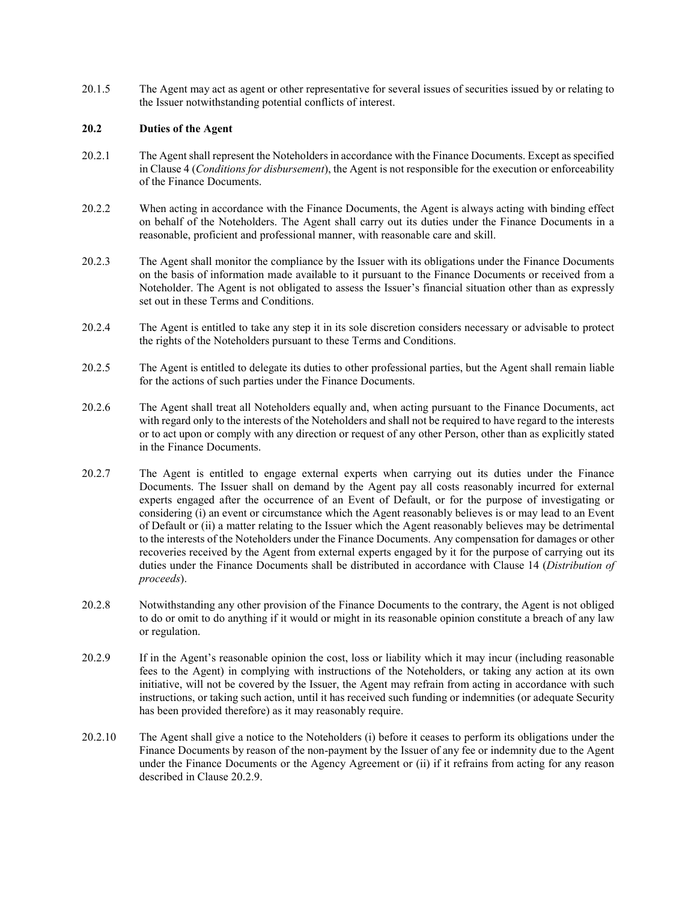20.1.5 The Agent may act as agent or other representative for several issues of securities issued by or relating to the Issuer notwithstanding potential conflicts of interest.

#### **20.2 Duties of the Agent**

- 20.2.1 The Agent shall represent the Noteholders in accordance with the Finance Documents. Except as specified in Clause 4 (*Conditions for disbursement*), the Agent is not responsible for the execution or enforceability of the Finance Documents.
- 20.2.2 When acting in accordance with the Finance Documents, the Agent is always acting with binding effect on behalf of the Noteholders. The Agent shall carry out its duties under the Finance Documents in a reasonable, proficient and professional manner, with reasonable care and skill.
- 20.2.3 The Agent shall monitor the compliance by the Issuer with its obligations under the Finance Documents on the basis of information made available to it pursuant to the Finance Documents or received from a Noteholder. The Agent is not obligated to assess the Issuer's financial situation other than as expressly set out in these Terms and Conditions.
- 20.2.4 The Agent is entitled to take any step it in its sole discretion considers necessary or advisable to protect the rights of the Noteholders pursuant to these Terms and Conditions.
- 20.2.5 The Agent is entitled to delegate its duties to other professional parties, but the Agent shall remain liable for the actions of such parties under the Finance Documents.
- 20.2.6 The Agent shall treat all Noteholders equally and, when acting pursuant to the Finance Documents, act with regard only to the interests of the Noteholders and shall not be required to have regard to the interests or to act upon or comply with any direction or request of any other Person, other than as explicitly stated in the Finance Documents.
- 20.2.7 The Agent is entitled to engage external experts when carrying out its duties under the Finance Documents. The Issuer shall on demand by the Agent pay all costs reasonably incurred for external experts engaged after the occurrence of an Event of Default, or for the purpose of investigating or considering (i) an event or circumstance which the Agent reasonably believes is or may lead to an Event of Default or (ii) a matter relating to the Issuer which the Agent reasonably believes may be detrimental to the interests of the Noteholders under the Finance Documents. Any compensation for damages or other recoveries received by the Agent from external experts engaged by it for the purpose of carrying out its duties under the Finance Documents shall be distributed in accordance with Clause 14 (*Distribution of proceeds*).
- 20.2.8 Notwithstanding any other provision of the Finance Documents to the contrary, the Agent is not obliged to do or omit to do anything if it would or might in its reasonable opinion constitute a breach of any law or regulation.
- 20.2.9 If in the Agent's reasonable opinion the cost, loss or liability which it may incur (including reasonable fees to the Agent) in complying with instructions of the Noteholders, or taking any action at its own initiative, will not be covered by the Issuer, the Agent may refrain from acting in accordance with such instructions, or taking such action, until it has received such funding or indemnities (or adequate Security has been provided therefore) as it may reasonably require.
- 20.2.10 The Agent shall give a notice to the Noteholders (i) before it ceases to perform its obligations under the Finance Documents by reason of the non-payment by the Issuer of any fee or indemnity due to the Agent under the Finance Documents or the Agency Agreement or (ii) if it refrains from acting for any reason described in Clause 20.2.9.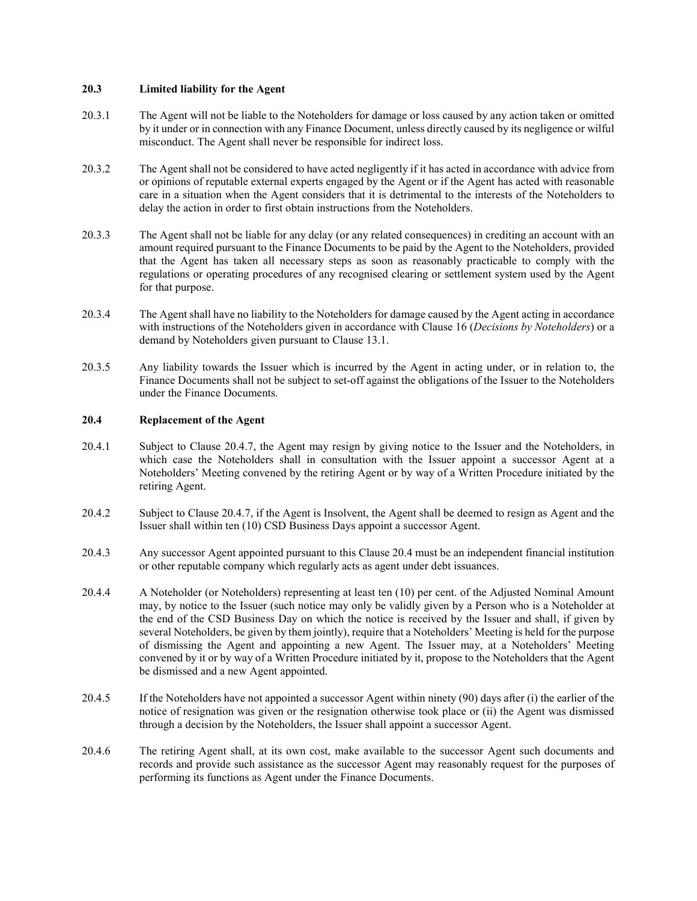## **20.3 Limited liability for the Agent**

- 20.3.1 The Agent will not be liable to the Noteholders for damage or loss caused by any action taken or omitted by it under or in connection with any Finance Document, unless directly caused by its negligence or wilful misconduct. The Agent shall never be responsible for indirect loss.
- 20.3.2 The Agent shall not be considered to have acted negligently if it has acted in accordance with advice from or opinions of reputable external experts engaged by the Agent or if the Agent has acted with reasonable care in a situation when the Agent considers that it is detrimental to the interests of the Noteholders to delay the action in order to first obtain instructions from the Noteholders.
- 20.3.3 The Agent shall not be liable for any delay (or any related consequences) in crediting an account with an amount required pursuant to the Finance Documents to be paid by the Agent to the Noteholders, provided that the Agent has taken all necessary steps as soon as reasonably practicable to comply with the regulations or operating procedures of any recognised clearing or settlement system used by the Agent for that purpose.
- 20.3.4 The Agent shall have no liability to the Noteholders for damage caused by the Agent acting in accordance with instructions of the Noteholders given in accordance with Clause 16 (*Decisions by Noteholders*) or a demand by Noteholders given pursuant to Clause 13.1.
- 20.3.5 Any liability towards the Issuer which is incurred by the Agent in acting under, or in relation to, the Finance Documents shall not be subject to set-off against the obligations of the Issuer to the Noteholders under the Finance Documents.

## **20.4 Replacement of the Agent**

- 20.4.1 Subject to Clause 20.4.7, the Agent may resign by giving notice to the Issuer and the Noteholders, in which case the Noteholders shall in consultation with the Issuer appoint a successor Agent at a Noteholders' Meeting convened by the retiring Agent or by way of a Written Procedure initiated by the retiring Agent.
- 20.4.2 Subject to Clause 20.4.7, if the Agent is Insolvent, the Agent shall be deemed to resign as Agent and the Issuer shall within ten (10) CSD Business Days appoint a successor Agent.
- 20.4.3 Any successor Agent appointed pursuant to this Clause 20.4 must be an independent financial institution or other reputable company which regularly acts as agent under debt issuances.
- 20.4.4 A Noteholder (or Noteholders) representing at least ten (10) per cent. of the Adjusted Nominal Amount may, by notice to the Issuer (such notice may only be validly given by a Person who is a Noteholder at the end of the CSD Business Day on which the notice is received by the Issuer and shall, if given by several Noteholders, be given by them jointly), require that a Noteholders' Meeting is held for the purpose of dismissing the Agent and appointing a new Agent. The Issuer may, at a Noteholders' Meeting convened by it or by way of a Written Procedure initiated by it, propose to the Noteholders that the Agent be dismissed and a new Agent appointed.
- 20.4.5 If the Noteholders have not appointed a successor Agent within ninety (90) days after (i) the earlier of the notice of resignation was given or the resignation otherwise took place or (ii) the Agent was dismissed through a decision by the Noteholders, the Issuer shall appoint a successor Agent.
- 20.4.6 The retiring Agent shall, at its own cost, make available to the successor Agent such documents and records and provide such assistance as the successor Agent may reasonably request for the purposes of performing its functions as Agent under the Finance Documents.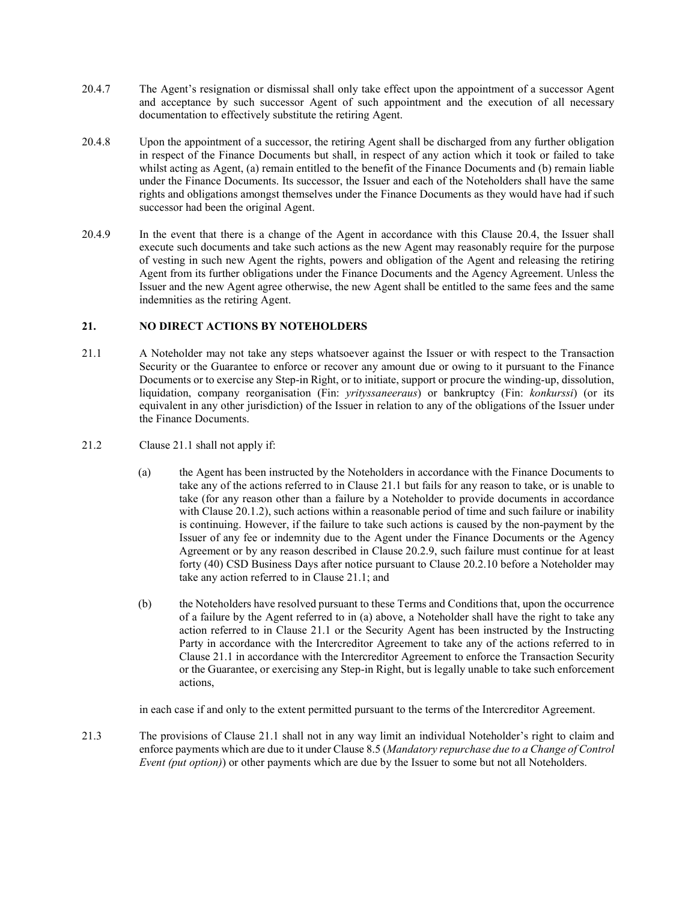- 20.4.7 The Agent's resignation or dismissal shall only take effect upon the appointment of a successor Agent and acceptance by such successor Agent of such appointment and the execution of all necessary documentation to effectively substitute the retiring Agent.
- 20.4.8 Upon the appointment of a successor, the retiring Agent shall be discharged from any further obligation in respect of the Finance Documents but shall, in respect of any action which it took or failed to take whilst acting as Agent, (a) remain entitled to the benefit of the Finance Documents and (b) remain liable under the Finance Documents. Its successor, the Issuer and each of the Noteholders shall have the same rights and obligations amongst themselves under the Finance Documents as they would have had if such successor had been the original Agent.
- 20.4.9 In the event that there is a change of the Agent in accordance with this Clause 20.4, the Issuer shall execute such documents and take such actions as the new Agent may reasonably require for the purpose of vesting in such new Agent the rights, powers and obligation of the Agent and releasing the retiring Agent from its further obligations under the Finance Documents and the Agency Agreement. Unless the Issuer and the new Agent agree otherwise, the new Agent shall be entitled to the same fees and the same indemnities as the retiring Agent.

## **21. NO DIRECT ACTIONS BY NOTEHOLDERS**

- 21.1 A Noteholder may not take any steps whatsoever against the Issuer or with respect to the Transaction Security or the Guarantee to enforce or recover any amount due or owing to it pursuant to the Finance Documents or to exercise any Step-in Right, or to initiate, support or procure the winding-up, dissolution, liquidation, company reorganisation (Fin: *yrityssaneeraus*) or bankruptcy (Fin: *konkurssi*) (or its equivalent in any other jurisdiction) of the Issuer in relation to any of the obligations of the Issuer under the Finance Documents.
- 21.2 Clause 21.1 shall not apply if:
	- (a) the Agent has been instructed by the Noteholders in accordance with the Finance Documents to take any of the actions referred to in Clause 21.1 but fails for any reason to take, or is unable to take (for any reason other than a failure by a Noteholder to provide documents in accordance with Clause 20.1.2), such actions within a reasonable period of time and such failure or inability is continuing. However, if the failure to take such actions is caused by the non-payment by the Issuer of any fee or indemnity due to the Agent under the Finance Documents or the Agency Agreement or by any reason described in Clause 20.2.9, such failure must continue for at least forty (40) CSD Business Days after notice pursuant to Clause 20.2.10 before a Noteholder may take any action referred to in Clause 21.1; and
	- (b) the Noteholders have resolved pursuant to these Terms and Conditions that, upon the occurrence of a failure by the Agent referred to in (a) above, a Noteholder shall have the right to take any action referred to in Clause 21.1 or the Security Agent has been instructed by the Instructing Party in accordance with the Intercreditor Agreement to take any of the actions referred to in Clause 21.1 in accordance with the Intercreditor Agreement to enforce the Transaction Security or the Guarantee, or exercising any Step-in Right, but is legally unable to take such enforcement actions,

in each case if and only to the extent permitted pursuant to the terms of the Intercreditor Agreement.

21.3 The provisions of Clause 21.1 shall not in any way limit an individual Noteholder's right to claim and enforce payments which are due to it under Clause 8.5 (*Mandatory repurchase due to a Change of Control Event (put option)*) or other payments which are due by the Issuer to some but not all Noteholders.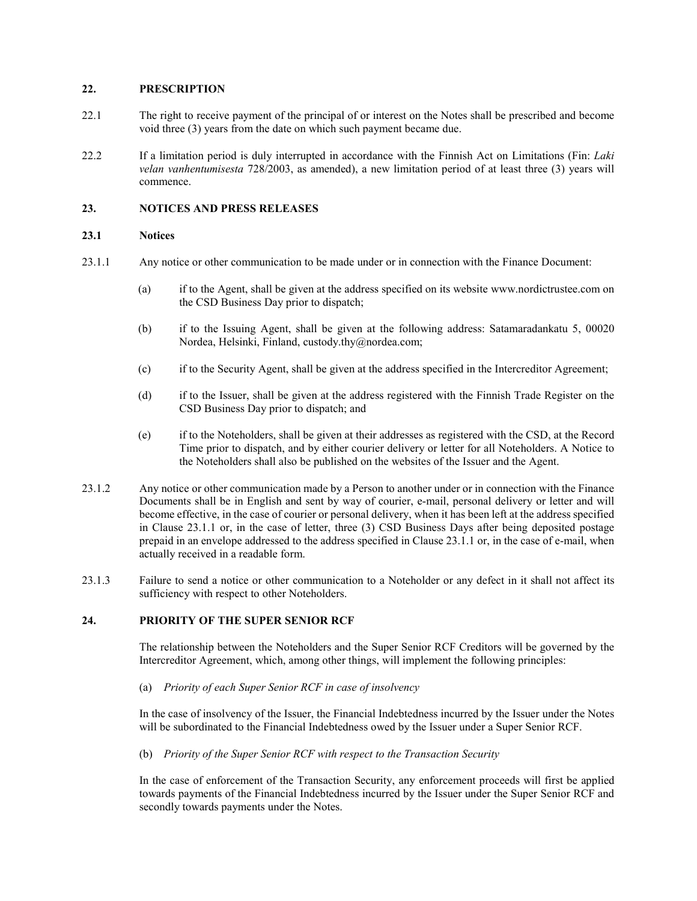## **22. PRESCRIPTION**

- 22.1 The right to receive payment of the principal of or interest on the Notes shall be prescribed and become void three (3) years from the date on which such payment became due.
- 22.2 If a limitation period is duly interrupted in accordance with the Finnish Act on Limitations (Fin: *Laki velan vanhentumisesta* 728/2003, as amended), a new limitation period of at least three (3) years will commence.

## **23. NOTICES AND PRESS RELEASES**

## **23.1 Notices**

- 23.1.1 Any notice or other communication to be made under or in connection with the Finance Document:
	- (a) if to the Agent, shall be given at the address specified on its website www.nordictrustee.com on the CSD Business Day prior to dispatch;
	- (b) if to the Issuing Agent, shall be given at the following address: Satamaradankatu 5, 00020 Nordea, Helsinki, Finland, custody.thy@nordea.com;
	- (c) if to the Security Agent, shall be given at the address specified in the Intercreditor Agreement;
	- (d) if to the Issuer, shall be given at the address registered with the Finnish Trade Register on the CSD Business Day prior to dispatch; and
	- (e) if to the Noteholders, shall be given at their addresses as registered with the CSD, at the Record Time prior to dispatch, and by either courier delivery or letter for all Noteholders. A Notice to the Noteholders shall also be published on the websites of the Issuer and the Agent.
- 23.1.2 Any notice or other communication made by a Person to another under or in connection with the Finance Documents shall be in English and sent by way of courier, e-mail, personal delivery or letter and will become effective, in the case of courier or personal delivery, when it has been left at the address specified in Clause 23.1.1 or, in the case of letter, three (3) CSD Business Days after being deposited postage prepaid in an envelope addressed to the address specified in Clause 23.1.1 or, in the case of e-mail, when actually received in a readable form.
- 23.1.3 Failure to send a notice or other communication to a Noteholder or any defect in it shall not affect its sufficiency with respect to other Noteholders.

### **24. PRIORITY OF THE SUPER SENIOR RCF**

The relationship between the Noteholders and the Super Senior RCF Creditors will be governed by the Intercreditor Agreement, which, among other things, will implement the following principles:

(a) *Priority of each Super Senior RCF in case of insolvency* 

In the case of insolvency of the Issuer, the Financial Indebtedness incurred by the Issuer under the Notes will be subordinated to the Financial Indebtedness owed by the Issuer under a Super Senior RCF.

(b) *Priority of the Super Senior RCF with respect to the Transaction Security* 

In the case of enforcement of the Transaction Security, any enforcement proceeds will first be applied towards payments of the Financial Indebtedness incurred by the Issuer under the Super Senior RCF and secondly towards payments under the Notes.